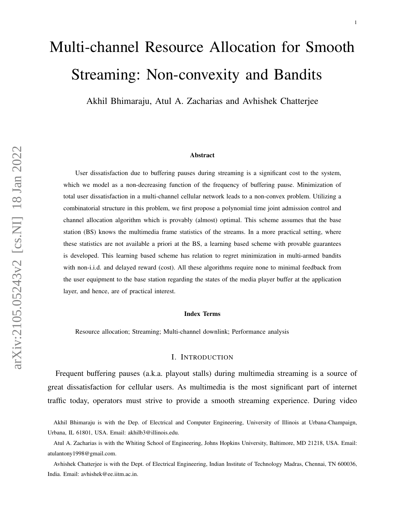# Multi-channel Resource Allocation for Smooth Streaming: Non-convexity and Bandits

Akhil Bhimaraju, Atul A. Zacharias and Avhishek Chatterjee

### Abstract

User dissatisfaction due to buffering pauses during streaming is a significant cost to the system, which we model as a non-decreasing function of the frequency of buffering pause. Minimization of total user dissatisfaction in a multi-channel cellular network leads to a non-convex problem. Utilizing a combinatorial structure in this problem, we first propose a polynomial time joint admission control and channel allocation algorithm which is provably (almost) optimal. This scheme assumes that the base station (BS) knows the multimedia frame statistics of the streams. In a more practical setting, where these statistics are not available a priori at the BS, a learning based scheme with provable guarantees is developed. This learning based scheme has relation to regret minimization in multi-armed bandits with non-i.i.d. and delayed reward (cost). All these algorithms require none to minimal feedback from the user equipment to the base station regarding the states of the media player buffer at the application layer, and hence, are of practical interest.

#### Index Terms

Resource allocation; Streaming; Multi-channel downlink; Performance analysis

### I. INTRODUCTION

<span id="page-0-0"></span>Frequent buffering pauses (a.k.a. playout stalls) during multimedia streaming is a source of great dissatisfaction for cellular users. As multimedia is the most significant part of internet traffic today, operators must strive to provide a smooth streaming experience. During video

Akhil Bhimaraju is with the Dep. of Electrical and Computer Engineering, University of Illinois at Urbana-Champaign, Urbana, IL 61801, USA. Email: akhilb3@illinois.edu.

Atul A. Zacharias is with the Whiting School of Engineering, Johns Hopkins University, Baltimore, MD 21218, USA. Email: atulantony1998@gmail.com.

Avhishek Chatterjee is with the Dept. of Electrical Engineering, Indian Institute of Technology Madras, Chennai, TN 600036, India. Email: avhishek@ee.iitm.ac.in.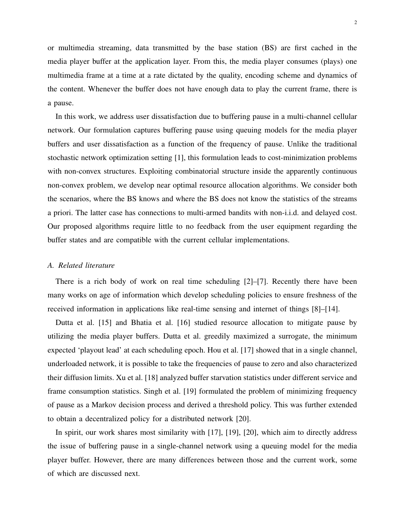or multimedia streaming, data transmitted by the base station (BS) are first cached in the media player buffer at the application layer. From this, the media player consumes (plays) one multimedia frame at a time at a rate dictated by the quality, encoding scheme and dynamics of the content. Whenever the buffer does not have enough data to play the current frame, there is a pause.

In this work, we address user dissatisfaction due to buffering pause in a multi-channel cellular network. Our formulation captures buffering pause using queuing models for the media player buffers and user dissatisfaction as a function of the frequency of pause. Unlike the traditional stochastic network optimization setting [\[1\]](#page-22-0), this formulation leads to cost-minimization problems with non-convex structures. Exploiting combinatorial structure inside the apparently continuous non-convex problem, we develop near optimal resource allocation algorithms. We consider both the scenarios, where the BS knows and where the BS does not know the statistics of the streams a priori. The latter case has connections to multi-armed bandits with non-i.i.d. and delayed cost. Our proposed algorithms require little to no feedback from the user equipment regarding the buffer states and are compatible with the current cellular implementations.

### *A. Related literature*

There is a rich body of work on real time scheduling [\[2\]](#page-22-1)–[\[7\]](#page-22-2). Recently there have been many works on age of information which develop scheduling policies to ensure freshness of the received information in applications like real-time sensing and internet of things [\[8\]](#page-22-3)–[\[14\]](#page-22-4).

Dutta et al. [\[15\]](#page-23-0) and Bhatia et al. [\[16\]](#page-23-1) studied resource allocation to mitigate pause by utilizing the media player buffers. Dutta et al. greedily maximized a surrogate, the minimum expected 'playout lead' at each scheduling epoch. Hou et al. [\[17\]](#page-23-2) showed that in a single channel, underloaded network, it is possible to take the frequencies of pause to zero and also characterized their diffusion limits. Xu et al. [\[18\]](#page-23-3) analyzed buffer starvation statistics under different service and frame consumption statistics. Singh et al. [\[19\]](#page-23-4) formulated the problem of minimizing frequency of pause as a Markov decision process and derived a threshold policy. This was further extended to obtain a decentralized policy for a distributed network [\[20\]](#page-23-5).

In spirit, our work shares most similarity with [\[17\]](#page-23-2), [\[19\]](#page-23-4), [\[20\]](#page-23-5), which aim to directly address the issue of buffering pause in a single-channel network using a queuing model for the media player buffer. However, there are many differences between those and the current work, some of which are discussed next.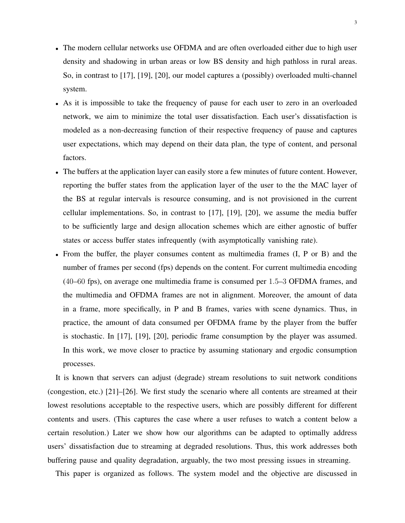- The modern cellular networks use OFDMA and are often overloaded either due to high user density and shadowing in urban areas or low BS density and high pathloss in rural areas. So, in contrast to [\[17\]](#page-23-2), [\[19\]](#page-23-4), [\[20\]](#page-23-5), our model captures a (possibly) overloaded multi-channel system.
- As it is impossible to take the frequency of pause for each user to zero in an overloaded network, we aim to minimize the total user dissatisfaction. Each user's dissatisfaction is modeled as a non-decreasing function of their respective frequency of pause and captures user expectations, which may depend on their data plan, the type of content, and personal factors.
- The buffers at the application layer can easily store a few minutes of future content. However, reporting the buffer states from the application layer of the user to the the MAC layer of the BS at regular intervals is resource consuming, and is not provisioned in the current cellular implementations. So, in contrast to [\[17\]](#page-23-2), [\[19\]](#page-23-4), [\[20\]](#page-23-5), we assume the media buffer to be sufficiently large and design allocation schemes which are either agnostic of buffer states or access buffer states infrequently (with asymptotically vanishing rate).
- From the buffer, the player consumes content as multimedia frames (I, P or B) and the number of frames per second (fps) depends on the content. For current multimedia encoding (40–60 fps), on average one multimedia frame is consumed per 1.5–3 OFDMA frames, and the multimedia and OFDMA frames are not in alignment. Moreover, the amount of data in a frame, more specifically, in P and B frames, varies with scene dynamics. Thus, in practice, the amount of data consumed per OFDMA frame by the player from the buffer is stochastic. In [\[17\]](#page-23-2), [\[19\]](#page-23-4), [\[20\]](#page-23-5), periodic frame consumption by the player was assumed. In this work, we move closer to practice by assuming stationary and ergodic consumption processes.

It is known that servers can adjust (degrade) stream resolutions to suit network conditions (congestion, etc.) [\[21\]](#page-23-6)–[\[26\]](#page-23-7). We first study the scenario where all contents are streamed at their lowest resolutions acceptable to the respective users, which are possibly different for different contents and users. (This captures the case where a user refuses to watch a content below a certain resolution.) Later we show how our algorithms can be adapted to optimally address users' dissatisfaction due to streaming at degraded resolutions. Thus, this work addresses both buffering pause and quality degradation, arguably, the two most pressing issues in streaming.

This paper is organized as follows. The system model and the objective are discussed in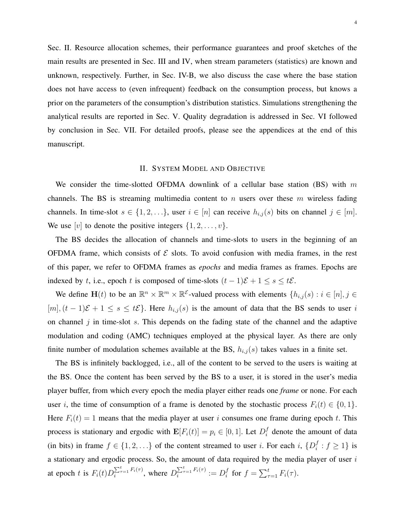Sec. [II.](#page-3-0) Resource allocation schemes, their performance guarantees and proof sketches of the main results are presented in Sec. [III](#page-7-0) and [IV,](#page-12-0) when stream parameters (statistics) are known and unknown, respectively. Further, in Sec. [IV-B,](#page-17-0) we also discuss the case where the base station does not have access to (even infrequent) feedback on the consumption process, but knows a prior on the parameters of the consumption's distribution statistics. Simulations strengthening the analytical results are reported in Sec. [V.](#page-19-0) Quality degradation is addressed in Sec. [VI](#page-21-0) followed by conclusion in Sec. [VII.](#page-22-5) For detailed proofs, please see the appendices at the end of this manuscript.

### II. SYSTEM MODEL AND OBJECTIVE

<span id="page-3-0"></span>We consider the time-slotted OFDMA downlink of a cellular base station (BS) with  $m$ channels. The BS is streaming multimedia content to  $n$  users over these  $m$  wireless fading channels. In time-slot  $s \in \{1, 2, ...\}$ , user  $i \in [n]$  can receive  $h_{i,j}(s)$  bits on channel  $j \in [m]$ . We use [v] to denote the positive integers  $\{1, 2, \ldots, v\}$ .

The BS decides the allocation of channels and time-slots to users in the beginning of an OFDMA frame, which consists of  $\mathcal E$  slots. To avoid confusion with media frames, in the rest of this paper, we refer to OFDMA frames as *epochs* and media frames as frames. Epochs are indexed by t, i.e., epoch t is composed of time-slots  $(t - 1)\mathcal{E} + 1 \leq s \leq t\mathcal{E}$ .

We define  $\mathbf{H}(t)$  to be an  $\mathbb{R}^n \times \mathbb{R}^m \times \mathbb{R}^{\mathcal{E}}$ -valued process with elements  $\{h_{i,j}(s) : i \in [n], j \in \mathcal{E}\}$  $[m], (t-1)\mathcal{E} + 1 \leq s \leq t\mathcal{E}$ . Here  $h_{i,j}(s)$  is the amount of data that the BS sends to user i on channel  $j$  in time-slot  $s$ . This depends on the fading state of the channel and the adaptive modulation and coding (AMC) techniques employed at the physical layer. As there are only finite number of modulation schemes available at the BS,  $h_{i,j}(s)$  takes values in a finite set.

The BS is infinitely backlogged, i.e., all of the content to be served to the users is waiting at the BS. Once the content has been served by the BS to a user, it is stored in the user's media player buffer, from which every epoch the media player either reads one *frame* or none. For each user i, the time of consumption of a frame is denoted by the stochastic process  $F_i(t) \in \{0, 1\}$ . Here  $F_i(t) = 1$  means that the media player at user i consumes one frame during epoch t. This process is stationary and ergodic with  $\mathbf{E}[F_i(t)] = p_i \in [0, 1]$ . Let  $D_i^f$  $i$  denote the amount of data (in bits) in frame  $f \in \{1, 2, ...\}$  of the content streamed to user *i*. For each *i*,  $\{D_i^f\}$  $i : f \geq 1$  is a stationary and ergodic process. So, the amount of data required by the media player of user  $i$ at epoch t is  $F_i(t)D_i^{\sum_{\tau=1}^t F_i(\tau)}$ , where  $D_i^{\sum_{\tau=1}^t F_i(\tau)} := D_i^f$  $i$ <sup>f</sup> for  $f = \sum_{\tau=1}^t F_i(\tau)$ .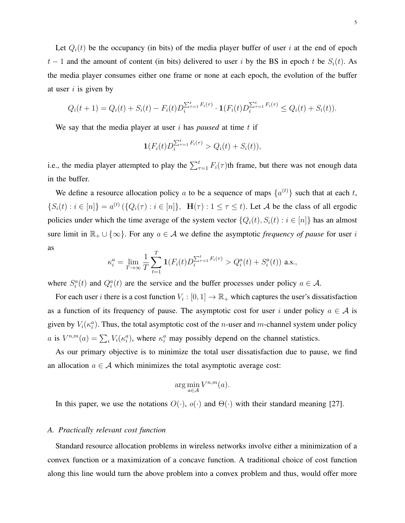Let  $Q_i(t)$  be the occupancy (in bits) of the media player buffer of user i at the end of epoch  $t-1$  and the amount of content (in bits) delivered to user i by the BS in epoch t be  $S_i(t)$ . As the media player consumes either one frame or none at each epoch, the evolution of the buffer at user  $i$  is given by

$$
Q_i(t+1) = Q_i(t) + S_i(t) - F_i(t)D_i^{\sum_{\tau=1}^t F_i(\tau)} \cdot \mathbf{1}(F_i(t)D_i^{\sum_{\tau=1}^t F_i(\tau)} \le Q_i(t) + S_i(t)).
$$

We say that the media player at user  $i$  has *paused* at time  $t$  if

$$
\mathbf{1}(F_i(t)D_i^{\sum_{\tau=1}^t F_i(\tau)} > Q_i(t) + S_i(t)),
$$

i.e., the media player attempted to play the  $\sum_{\tau=1}^{t} F_i(\tau)$ th frame, but there was not enough data in the buffer.

We define a resource allocation policy a to be a sequence of maps  $\{a^{(t)}\}$  such that at each t,  $\{S_i(t) : i \in [n]\} = a^{(t)} \left( \{Q_i(\tau) : i \in [n]\}, \mathbf{H}(\tau) : 1 \leq \tau \leq t \right)$ . Let A be the class of all ergodic policies under which the time average of the system vector  $\{Q_i(t), S_i(t) : i \in [n]\}$  has an almost sure limit in  $\mathbb{R}_+ \cup \{\infty\}$ . For any  $a \in \mathcal{A}$  we define the asymptotic *frequency of pause* for user i as

$$
\kappa_i^a = \lim_{T \to \infty} \frac{1}{T} \sum_{t=1}^T \mathbf{1}(F_i(t) D_i^{\sum_{\tau=1}^t F_i(\tau)} > Q_i^a(t) + S_i^a(t)) \text{ a.s.},
$$

where  $S_i^a(t)$  and  $Q_i^a(t)$  are the service and the buffer processes under policy  $a \in \mathcal{A}$ .

For each user *i* there is a cost function  $V_i : [0, 1] \to \mathbb{R}_+$  which captures the user's dissatisfaction as a function of its frequency of pause. The asymptotic cost for user i under policy  $a \in A$  is given by  $V_i(\kappa_i^a)$ . Thus, the total asymptotic cost of the *n*-user and *m*-channel system under policy a is  $V^{n,m}(a) = \sum_i V_i(\kappa_i^a)$ , where  $\kappa_i^a$  may possibly depend on the channel statistics.

As our primary objective is to minimize the total user dissatisfaction due to pause, we find an allocation  $a \in \mathcal{A}$  which minimizes the total asymptotic average cost:

$$
\arg\min_{a\in\mathcal{A}}V^{n,m}(a).
$$

In this paper, we use the notations  $O(\cdot)$ ,  $o(\cdot)$  and  $\Theta(\cdot)$  with their standard meaning [\[27\]](#page-23-8).

### <span id="page-4-0"></span>*A. Practically relevant cost function*

Standard resource allocation problems in wireless networks involve either a minimization of a convex function or a maximization of a concave function. A traditional choice of cost function along this line would turn the above problem into a convex problem and thus, would offer more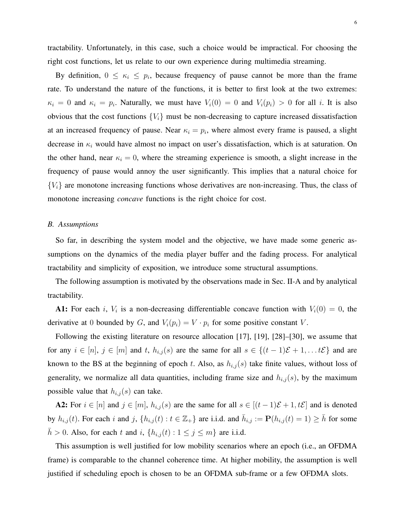tractability. Unfortunately, in this case, such a choice would be impractical. For choosing the right cost functions, let us relate to our own experience during multimedia streaming.

By definition,  $0 \leq \kappa_i \leq p_i$ , because frequency of pause cannot be more than the frame rate. To understand the nature of the functions, it is better to first look at the two extremes:  $\kappa_i = 0$  and  $\kappa_i = p_i$ . Naturally, we must have  $V_i(0) = 0$  and  $V_i(p_i) > 0$  for all i. It is also obvious that the cost functions  ${V_i}$  must be non-decreasing to capture increased dissatisfaction at an increased frequency of pause. Near  $\kappa_i = p_i$ , where almost every frame is paused, a slight decrease in  $\kappa_i$  would have almost no impact on user's dissatisfaction, which is at saturation. On the other hand, near  $\kappa_i = 0$ , where the streaming experience is smooth, a slight increase in the frequency of pause would annoy the user significantly. This implies that a natural choice for  ${V_i}$  are monotone increasing functions whose derivatives are non-increasing. Thus, the class of monotone increasing *concave* functions is the right choice for cost.

### *B. Assumptions*

So far, in describing the system model and the objective, we have made some generic assumptions on the dynamics of the media player buffer and the fading process. For analytical tractability and simplicity of exposition, we introduce some structural assumptions.

The following assumption is motivated by the observations made in Sec. [II-A](#page-4-0) and by analytical tractability.

**A1:** For each i,  $V_i$  is a non-decreasing differentiable concave function with  $V_i(0) = 0$ , the derivative at 0 bounded by G, and  $V_i(p_i) = V \cdot p_i$  for some positive constant V.

Following the existing literature on resource allocation [\[17\]](#page-23-2), [\[19\]](#page-23-4), [\[28\]](#page-23-9)–[\[30\]](#page-23-10), we assume that for any  $i \in [n], j \in [m]$  and t,  $h_{i,j}(s)$  are the same for all  $s \in \{(t-1)\mathcal{E}+1,\ldots t\mathcal{E}\}\)$  and are known to the BS at the beginning of epoch t. Also, as  $h_{i,j}(s)$  take finite values, without loss of generality, we normalize all data quantities, including frame size and  $h_{i,j}(s)$ , by the maximum possible value that  $h_{i,j}(s)$  can take.

**A2:** For  $i \in [n]$  and  $j \in [m]$ ,  $h_{i,j}(s)$  are the same for all  $s \in [(t-1)\mathcal{E}+1, t\mathcal{E}]$  and is denoted by  $h_{i,j}(t)$ . For each i and j,  $\{h_{i,j}(t) : t \in \mathbb{Z}_+\}$  are i.i.d. and  $\bar{h}_{i,j} := \mathbf{P}(h_{i,j}(t) = 1) \ge \bar{h}$  for some  $\bar{h} > 0$ . Also, for each t and i,  $\{h_{i,j}(t) : 1 \le j \le m\}$  are i.i.d.

This assumption is well justified for low mobility scenarios where an epoch (i.e., an OFDMA frame) is comparable to the channel coherence time. At higher mobility, the assumption is well justified if scheduling epoch is chosen to be an OFDMA sub-frame or a few OFDMA slots.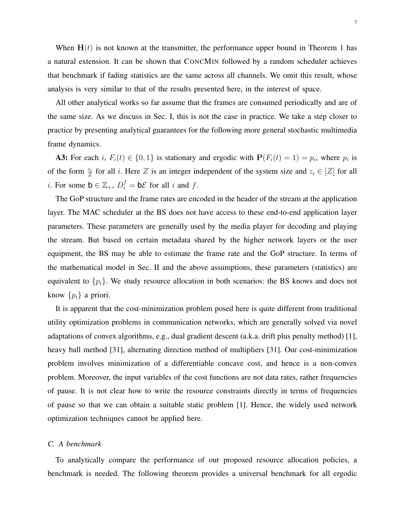All other analytical works so far assume that the frames are consumed periodically and are of the same size. As we discuss in Sec. [I,](#page-0-0) this is not the case in practice. We take a step closer to practice by presenting analytical guarantees for the following more general stochastic multimedia frame dynamics.

**A3:** For each i,  $F_i(t) \in \{0, 1\}$  is stationary and ergodic with  $P(F_i(t) = 1) = p_i$ , where  $p_i$  is of the form  $\frac{z_i}{Z}$  for all i. Here Z is an integer independent of the system size and  $z_i \in [Z]$  for all *i*. For some  $\mathbf{b} \in \mathbb{Z}_+$ ,  $D_i^f = \mathbf{b} \mathcal{E}$  for all *i* and *f*.

The GoP structure and the frame rates are encoded in the header of the stream at the application layer. The MAC scheduler at the BS does not have access to these end-to-end application layer parameters. These parameters are generally used by the media player for decoding and playing the stream. But based on certain metadata shared by the higher network layers or the user equipment, the BS may be able to estimate the frame rate and the GoP structure. In terms of the mathematical model in Sec. [II](#page-3-0) and the above assumptions, these parameters (statistics) are equivalent to  $\{p_i\}$ . We study resource allocation in both scenarios: the BS knows and does not know  $\{p_i\}$  a priori.

It is apparent that the cost-minimization problem posed here is quite different from traditional utility optimization problems in communication networks, which are generally solved via novel adaptations of convex algorithms, e.g., dual gradient descent (a.k.a. drift plus penalty method) [\[1\]](#page-22-0), heavy ball method [\[31\]](#page-23-11), alternating direction method of multipliers [\[31\]](#page-23-11). Our cost-minimization problem involves minimization of a differentiable concave cost, and hence is a non-convex problem. Moreover, the input variables of the cost functions are not data rates, rather frequencies of pause. It is not clear how to write the resource constraints directly in terms of frequencies of pause so that we can obtain a suitable static problem [\[1\]](#page-22-0). Hence, the widely used network optimization techniques cannot be applied here.

### <span id="page-6-0"></span>*C. A benchmark*

To analytically compare the performance of our proposed resource allocation policies, a benchmark is needed. The following theorem provides a universal benchmark for all ergodic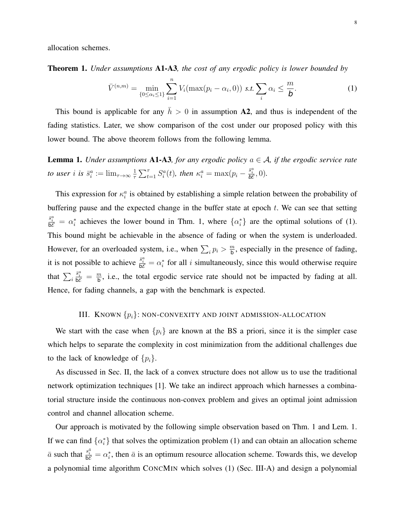allocation schemes.

<span id="page-7-1"></span>Theorem 1. *Under assumptions* A1-A3*, the cost of any ergodic policy is lower bounded by*

<span id="page-7-2"></span>
$$
\bar{V}^{(n,m)} = \min_{\{0 \le \alpha_i \le 1\}} \sum_{i=1}^n V_i(\max(p_i - \alpha_i, 0)) \text{ s.t. } \sum_i \alpha_i \le \frac{m}{b}.
$$
 (1)

This bound is applicable for any  $\bar{h} > 0$  in assumption A2, and thus is independent of the fading statistics. Later, we show comparison of the cost under our proposed policy with this lower bound. The above theorem follows from the following lemma.

<span id="page-7-3"></span>**Lemma 1.** *Under assumptions*  $A1-A3$ *, for any ergodic policy*  $a \in A$ *, if the ergodic service rate to user i is*  $\bar{s}^a_i := \lim_{\tau \to \infty} \frac{1}{\tau}$  $\frac{1}{\tau} \sum_{t=1}^{\tau} S_i^a(t)$ , then  $\kappa_i^a = \max(p_i - \frac{\bar{s}_i^a}{b^c}, 0)$ .

This expression for  $\kappa_i^a$  is obtained by establishing a simple relation between the probability of buffering pause and the expected change in the buffer state at epoch  $t$ . We can see that setting  $\frac{\bar{s}_{i}^{a}}{bc} = \alpha_{i}^{*}$  achieves the lower bound in Thm. [1,](#page-7-1) where  $\{\alpha_{i}^{*}\}\$  are the optimal solutions of [\(1\)](#page-7-2). This bound might be achievable in the absence of fading or when the system is underloaded. However, for an overloaded system, i.e., when  $\sum_i p_i > \frac{m}{b}$  $\frac{m}{b}$ , especially in the presence of fading, it is not possible to achieve  $\frac{\bar{s}_i^a}{\bar{b}\mathcal{E}} = \alpha_i^*$  for all i simultaneously, since this would otherwise require that  $\sum_i$  $\frac{\bar{s}_i^a}{\mathsf{b}\mathcal{E}} = \frac{m}{\mathsf{b}}$  $\frac{m}{b}$ , i.e., the total ergodic service rate should not be impacted by fading at all. Hence, for fading channels, a gap with the benchmark is expected.

## III. KNOWN  $\{p_i\}$ : NON-CONVEXITY AND JOINT ADMISSION-ALLOCATION

<span id="page-7-0"></span>We start with the case when  $\{p_i\}$  are known at the BS a priori, since it is the simpler case which helps to separate the complexity in cost minimization from the additional challenges due to the lack of knowledge of  $\{p_i\}$ .

As discussed in Sec. [II,](#page-3-0) the lack of a convex structure does not allow us to use the traditional network optimization techniques [\[1\]](#page-22-0). We take an indirect approach which harnesses a combinatorial structure inside the continuous non-convex problem and gives an optimal joint admission control and channel allocation scheme.

Our approach is motivated by the following simple observation based on Thm. [1](#page-7-1) and Lem. [1.](#page-7-3) If we can find  $\{\alpha_i^*\}$  that solves the optimization problem [\(1\)](#page-7-2) and can obtain an allocation scheme  $\bar{a}$  such that  $\frac{s_i^{\bar{a}}}{b\mathcal{E}} = \alpha_i^*$ , then  $\bar{a}$  is an optimum resource allocation scheme. Towards this, we develop a polynomial time algorithm CONCMIN which solves [\(1\)](#page-7-2) (Sec. [III-A\)](#page-8-0) and design a polynomial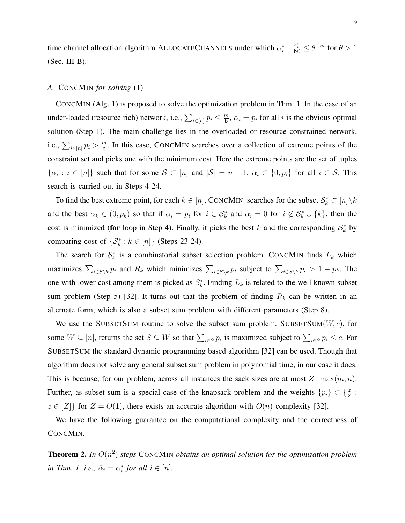time channel allocation algorithm ALLOCATECHANNELS under which  $\alpha_i^* - \frac{s_i^{\bar{a}}}{b\mathcal{E}} \leq \theta^{-m}$  for  $\theta > 1$ (Sec. [III-B\)](#page-10-0).

### <span id="page-8-0"></span>*A.* CONCMIN *for solving* [\(1\)](#page-7-2)

CONCMIN (Alg. [1\)](#page-9-0) is proposed to solve the optimization problem in Thm. [1.](#page-7-1) In the case of an under-loaded (resource rich) network, i.e.,  $\sum_{i \in [n]} p_i \leq \frac{m}{b}$  $\frac{m}{b}$ ,  $\alpha_i = p_i$  for all *i* is the obvious optimal solution (Step [1\)](#page-9-1). The main challenge lies in the overloaded or resource constrained network, i.e.,  $\sum_{i \in [n]} p_i > \frac{m}{\mathsf{b}}$  $\frac{m}{b}$ . In this case, CONCMIN searches over a collection of extreme points of the constraint set and picks one with the minimum cost. Here the extreme points are the set of tuples  $\{\alpha_i : i \in [n]\}$  such that for some  $S \subset [n]$  and  $|S| = n - 1$ ,  $\alpha_i \in \{0, p_i\}$  for all  $i \in S$ . This search is carried out in Steps [4](#page-9-2)[-24.](#page-9-3)

To find the best extreme point, for each  $k \in [n]$ , CONCMIN searches for the subset  $\mathcal{S}_k^* \subset [n] \setminus k$ and the best  $\alpha_k \in (0, p_k)$  so that if  $\alpha_i = p_i$  for  $i \in S_k^*$  and  $\alpha_i = 0$  for  $i \notin S_k^* \cup \{k\}$ , then the cost is minimized (for loop in Step [4\)](#page-9-2). Finally, it picks the best k and the corresponding  $S_k^*$  by comparing cost of  $\{\mathcal{S}_k^* : k \in [n]\}$  (Steps [23](#page-9-4)[-24\)](#page-9-3).

The search for  $S_k^*$  is a combinatorial subset selection problem. CONCMIN finds  $L_k$  which maximizes  $\sum_{i \in S \setminus k} p_i$  and  $R_k$  which minimizes  $\sum_{i \in S \setminus k} p_i$  subject to  $\sum_{i \in S \setminus k} p_i > 1 - p_k$ . The one with lower cost among them is picked as  $S_k^*$ . Finding  $L_k$  is related to the well known subset sum problem (Step [5\)](#page-9-5) [\[32\]](#page-23-12). It turns out that the problem of finding  $R_k$  can be written in an alternate form, which is also a subset sum problem with different parameters (Step [8\)](#page-9-6).

We use the SUBSETSUM routine to solve the subset sum problem. SUBSETSUM $(W, c)$ , for some  $W \subseteq [n]$ , returns the set  $S \subseteq W$  so that  $\sum_{i \in S} p_i$  is maximized subject to  $\sum_{i \in S} p_i \le c$ . For SUBSETSUM the standard dynamic programming based algorithm [\[32\]](#page-23-12) can be used. Though that algorithm does not solve any general subset sum problem in polynomial time, in our case it does. This is because, for our problem, across all instances the sack sizes are at most  $Z \cdot \max(m, n)$ . Further, as subset sum is a special case of the knapsack problem and the weights  $\{p_i\} \subset \{\frac{z}{Z}:\}$  $z \in [Z]$  for  $Z = O(1)$ , there exists an accurate algorithm with  $O(n)$  complexity [\[32\]](#page-23-12).

We have the following guarantee on the computational complexity and the correctness of CONCMIN.

<span id="page-8-1"></span>Theorem 2. *In* O(n 2 ) *steps* CONCMIN *obtains an optimal solution for the optimization problem in Thm. 1, i.e.,*  $\bar{\alpha}_i = \alpha_i^*$  *for all*  $i \in [n]$ *.*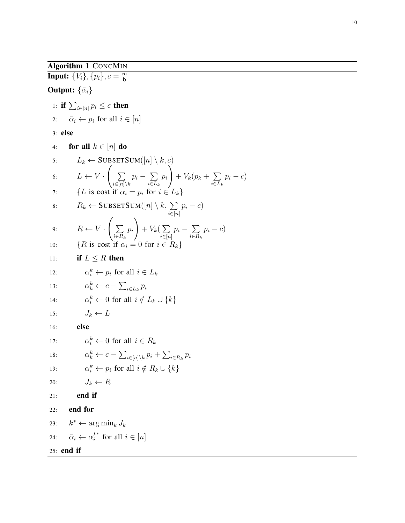Algorithm 1 CONCMIN

<span id="page-9-5"></span><span id="page-9-2"></span><span id="page-9-1"></span><span id="page-9-0"></span>**Input:**  $\{V_i\}, \{p_i\}, c = \frac{m}{b}$ b **Output:**  $\{\bar{\alpha}_i\}$ 1: if  $\sum_{i\in[n]}p_i\leq c$  then 2:  $\bar{\alpha}_i \leftarrow p_i$  for all  $i \in [n]$ 3: else 4: for all  $k \in [n]$  do 5:  $L_k \leftarrow \text{SUBSECTION}([n] \setminus k, c)$ 6:  $L \leftarrow V$ .  $\sqrt{ }$  $\sum$  $\sum_{i\in [n]\setminus k} p_i - \sum_{i\in L_i}$  $i \in L_k$ 7: {L is cost if  $\alpha_i = p_i$  for  $i \in L_k$ } 8:  $R_k \leftarrow \text{SUBSETSUM}([n] \setminus k, \sum_{i \in [n]} p_i - c)$ 9:  $R \leftarrow V$ .  $\sqrt{ }$  $\sum$  $i \in R_k$  $p_i$  $\setminus$  $+$   $V_k$ ( $\sum$ 10: {R is cost if  $\alpha_i = 0$  for  $i \in$ 11: if  $L < R$  then  $12:$  $i<sup>k</sup> \leftarrow p_i$  for all  $i \in L_k$ 

 $p_i$  $\setminus$ 

 $\sum_{i\in[n]} p_i - \sum_{i\in R_i}$ 

<span id="page-9-6"></span> $+ V_k(p_k + \sum$ 

 $\sum_{i\in R_k} p_i - c$ 

 $\sum_{i\in L_k} p_i - c$ 

13: 
$$
\alpha_k^k \leftarrow c - \sum_{i \in L_k} p_i
$$

14: 
$$
\alpha_i^k \leftarrow 0 \text{ for all } i \notin L_k \cup \{k\}
$$

$$
15: \t J_k \leftarrow L
$$

16: else

<span id="page-9-4"></span><span id="page-9-3"></span>17: 
$$
\alpha_i^k \leftarrow 0 \text{ for all } i \in R_k
$$
\n18: 
$$
\alpha_k^k \leftarrow c - \sum_{i \in [n] \setminus k} p_i + \sum_{i \in R_k} p_i
$$
\n19: 
$$
\alpha_i^k \leftarrow p_i \text{ for all } i \notin R_k \cup \{k\}
$$
\n20: 
$$
J_k \leftarrow R
$$
\n21: **end if**\n22: **end if**\n23: 
$$
k^* \leftarrow \arg \min_k J_k
$$
\n24: 
$$
\bar{\alpha}_i \leftarrow \alpha_i^{k^*} \text{ for all } i \in [n]
$$
\n25: **end if**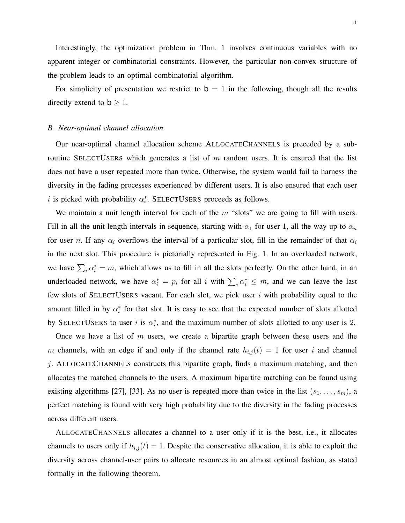Interestingly, the optimization problem in Thm. [1](#page-7-1) involves continuous variables with no apparent integer or combinatorial constraints. However, the particular non-convex structure of the problem leads to an optimal combinatorial algorithm.

For simplicity of presentation we restrict to  $b = 1$  in the following, though all the results directly extend to  $b \geq 1$ .

### <span id="page-10-0"></span>*B. Near-optimal channel allocation*

Our near-optimal channel allocation scheme ALLOCATECHANNELS is preceded by a subroutine SELECTUSERS which generates a list of  $m$  random users. It is ensured that the list does not have a user repeated more than twice. Otherwise, the system would fail to harness the diversity in the fading processes experienced by different users. It is also ensured that each user i is picked with probability  $\alpha_i^*$ . SELECTUSERS proceeds as follows.

We maintain a unit length interval for each of the  $m$  "slots" we are going to fill with users. Fill in all the unit length intervals in sequence, starting with  $\alpha_1$  for user 1, all the way up to  $\alpha_n$ for user n. If any  $\alpha_i$  overflows the interval of a particular slot, fill in the remainder of that  $\alpha_i$ in the next slot. This procedure is pictorially represented in Fig. [1.](#page-11-0) In an overloaded network, we have  $\sum_i \alpha_i^* = m$ , which allows us to fill in all the slots perfectly. On the other hand, in an underloaded network, we have  $\alpha_i^* = p_i$  for all i with  $\sum_i \alpha_i^* \leq m$ , and we can leave the last few slots of SELECTUSERS vacant. For each slot, we pick user  $i$  with probability equal to the amount filled in by  $\alpha_i^*$  for that slot. It is easy to see that the expected number of slots allotted by SELECTUSERS to user i is  $\alpha_i^*$ , and the maximum number of slots allotted to any user is 2.

Once we have a list of  $m$  users, we create a bipartite graph between these users and the m channels, with an edge if and only if the channel rate  $h_{i,j}(t) = 1$  for user i and channel  $j$ . ALLOCATECHANNELS constructs this bipartite graph, finds a maximum matching, and then allocates the matched channels to the users. A maximum bipartite matching can be found using existing algorithms [\[27\]](#page-23-8), [\[33\]](#page-23-13). As no user is repeated more than twice in the list  $(s_1, \ldots, s_m)$ , a perfect matching is found with very high probability due to the diversity in the fading processes across different users.

ALLOCATECHANNELS allocates a channel to a user only if it is the best, i.e., it allocates channels to users only if  $h_{i,j}(t) = 1$ . Despite the conservative allocation, it is able to exploit the diversity across channel-user pairs to allocate resources in an almost optimal fashion, as stated formally in the following theorem.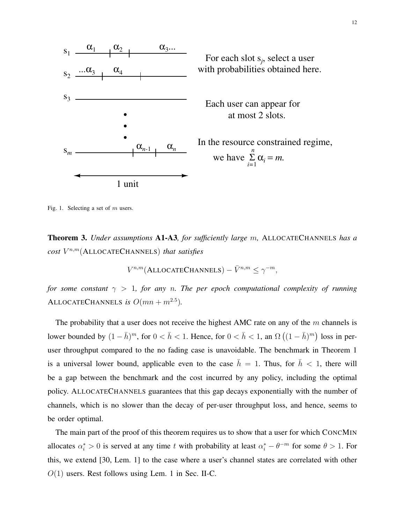

Fig. 1. Selecting a set of m users.

<span id="page-11-1"></span>Theorem 3. *Under assumptions* A1-A3*, for sufficiently large* m*,* ALLOCATECHANNELS *has a cost* V n,m(ALLOCATECHANNELS) *that satisfies*

<span id="page-11-0"></span>
$$
V^{n,m}(\text{ALLOCATECHANNELS}) - \bar{V}^{n,m} \le \gamma^{-m},
$$

*for some constant*  $\gamma > 1$ *, for any n. The per epoch computational complexity of running* ALLOCATECHANNELS is  $O(mn + m^{2.5})$ .

The probability that a user does not receive the highest AMC rate on any of the  $m$  channels is lower bounded by  $(1 - \bar{h})^m$ , for  $0 < \bar{h} < 1$ . Hence, for  $0 < \bar{h} < 1$ , an  $\Omega((1 - \bar{h})^m)$  loss in peruser throughput compared to the no fading case is unavoidable. The benchmark in Theorem [1](#page-7-1) is a universal lower bound, applicable even to the case  $\bar{h} = 1$ . Thus, for  $\bar{h} < 1$ , there will be a gap between the benchmark and the cost incurred by any policy, including the optimal policy. ALLOCATECHANNELS guarantees that this gap decays exponentially with the number of channels, which is no slower than the decay of per-user throughput loss, and hence, seems to be order optimal.

The main part of the proof of this theorem requires us to show that a user for which CONCMIN allocates  $\alpha_i^* > 0$  is served at any time t with probability at least  $\alpha_i^* - \theta^{-m}$  for some  $\theta > 1$ . For this, we extend [\[30,](#page-23-10) Lem. 1] to the case where a user's channel states are correlated with other  $O(1)$  users. Rest follows using Lem. [1](#page-7-3) in Sec. [II-C.](#page-6-0)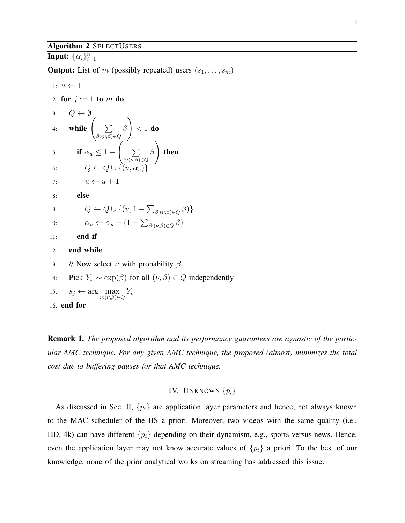### Algorithm 2 SELECTUSERS

Input:  $\{\alpha_i\}_{i=1}^n$ 

**Output:** List of m (possibly repeated) users  $(s_1, \ldots, s_m)$ 

1: 
$$
u \leftarrow 1
$$
  
\n2: **for**  $j := 1$  **to**  $m$  **do**  
\n3:  $Q \leftarrow \emptyset$   
\n4: **while**  $\left( \sum_{\beta: (\nu, \beta) \in Q} \beta \right) < 1$  **do**  
\n5: **if**  $\alpha_u \le 1 - \left( \sum_{\beta: (\nu, \beta) \in Q} \beta \right)$  **then**  
\n6:  $Q \leftarrow Q \cup \{(u, \alpha_u)\}$   
\n7:  $u \leftarrow u + 1$   
\n8: **else**  
\n9:  $Q \leftarrow Q \cup \{(u, 1 - \sum_{\beta: (\nu, \beta) \in Q} \beta)\}$   
\n10:  $\alpha_u \leftarrow \alpha_u - (1 - \sum_{\beta: (\nu, \beta) \in Q} \beta)$   
\n11: **end if**  
\n12: **end while**  
\n13:  $\# \text{Now select } \nu \text{ with probability } \beta$   
\n14: **Pick**  $Y_{\nu} \sim \exp(\beta)$  for all  $(\nu, \beta) \in Q$  independently  
\n15:  $s_j \leftarrow \arg \max_{\nu: (\nu, \beta) \in Q} Y_{\nu}$   
\n16: **end for**

Remark 1. *The proposed algorithm and its performance guarantees are agnostic of the particular AMC technique. For any given AMC technique, the proposed (almost) minimizes the total cost due to buffering pauses for that AMC technique.*

## IV. UNKNOWN  $\{p_i\}$

<span id="page-12-0"></span>As discussed in Sec. [II,](#page-3-0)  $\{p_i\}$  are application layer parameters and hence, not always known to the MAC scheduler of the BS a priori. Moreover, two videos with the same quality (i.e., HD, 4k) can have different  $\{p_i\}$  depending on their dynamism, e.g., sports versus news. Hence, even the application layer may not know accurate values of  $\{p_i\}$  a priori. To the best of our knowledge, none of the prior analytical works on streaming has addressed this issue.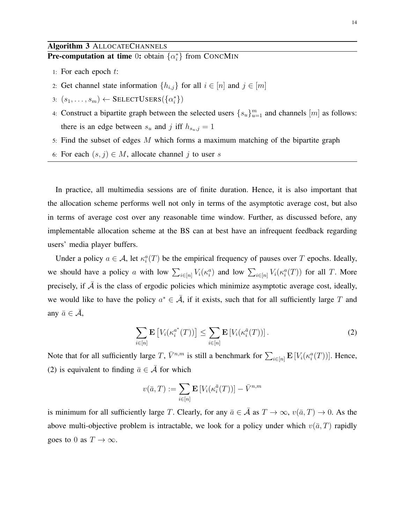<span id="page-13-1"></span>**Pre-computation at time** 0: obtain  $\{\alpha_i^*\}$  from CONCMIN

- 1: For each epoch t:
- 2: Get channel state information  $\{h_{i,j}\}$  for all  $i \in [n]$  and  $j \in [m]$
- 3:  $(s_1, \ldots, s_m) \leftarrow$  SELECTUSERS $(\{\alpha_i^*\})$
- 4: Construct a bipartite graph between the selected users  $\{s_u\}_{u=1}^m$  and channels  $[m]$  as follows: there is an edge between  $s_u$  and j iff  $h_{s_u,j} = 1$
- 5: Find the subset of edges M which forms a maximum matching of the bipartite graph
- 6: For each  $(s, j) \in M$ , allocate channel j to user s

In practice, all multimedia sessions are of finite duration. Hence, it is also important that the allocation scheme performs well not only in terms of the asymptotic average cost, but also in terms of average cost over any reasonable time window. Further, as discussed before, any implementable allocation scheme at the BS can at best have an infrequent feedback regarding users' media player buffers.

Under a policy  $a \in \mathcal{A}$ , let  $\kappa_i^a(T)$  be the empirical frequency of pauses over T epochs. Ideally, we should have a policy a with low  $\sum_{i\in[n]} V_i(\kappa_i^a)$  and low  $\sum_{i\in[n]} V_i(\kappa_i^a(T))$  for all T. More precisely, if  $A$  is the class of ergodic policies which minimize asymptotic average cost, ideally, we would like to have the policy  $a^* \in \overline{A}$ , if it exists, such that for all sufficiently large T and any  $\bar{a} \in \bar{\mathcal{A}}$ ,

<span id="page-13-0"></span>
$$
\sum_{i \in [n]} \mathbf{E}\left[V_i(\kappa_i^{a^*}(T))\right] \le \sum_{i \in [n]} \mathbf{E}\left[V_i(\kappa_i^{\bar{a}}(T))\right].\tag{2}
$$

Note that for all sufficiently large T,  $\bar{V}^{n,m}$  is still a benchmark for  $\sum_{i\in[n]} \mathbf{E}[V_i(\kappa_i^a(T))]$ . Hence, [\(2\)](#page-13-0) is equivalent to finding  $\bar{a} \in \bar{\mathcal{A}}$  for which

$$
v(\bar{a},T) := \sum_{i \in [n]} \mathbf{E}\left[V_i(\kappa_i^{\bar{a}}(T))\right] - \bar{V}^{n,m}
$$

is minimum for all sufficiently large T. Clearly, for any  $\bar{a} \in \bar{\mathcal{A}}$  as  $T \to \infty$ ,  $v(\bar{a}, T) \to 0$ . As the above multi-objective problem is intractable, we look for a policy under which  $v(\bar{a}, T)$  rapidly goes to 0 as  $T \to \infty$ .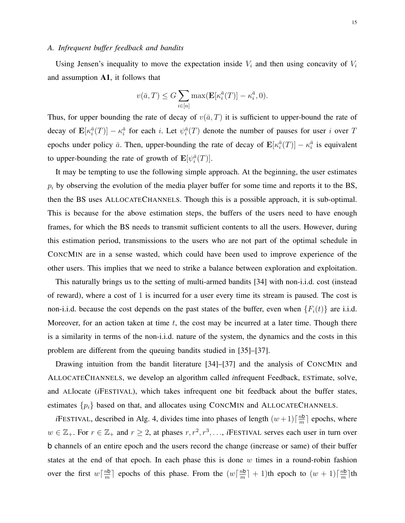### <span id="page-14-0"></span>*A. Infrequent buffer feedback and bandits*

Using Jensen's inequality to move the expectation inside  $V_i$  and then using concavity of  $V_i$ and assumption A1, it follows that

$$
v(\bar{a},T) \le G \sum_{i \in [n]} \max(\mathbf{E}[\kappa_i^{\bar{a}}(T)] - \kappa_i^{\bar{a}}, 0).
$$

Thus, for upper bounding the rate of decay of  $v(\bar{a}, T)$  it is sufficient to upper-bound the rate of decay of  $\mathbf{E}[\kappa_i^{\bar{a}}(T)] - \kappa_i^{\bar{a}}$  for each *i*. Let  $\psi_i^{\bar{a}}(T)$  denote the number of pauses for user *i* over T epochs under policy  $\bar{a}$ . Then, upper-bounding the rate of decay of  $\mathbf{E}[\kappa_i^{\bar{a}}(T)] - \kappa_i^{\bar{a}}$  is equivalent to upper-bounding the rate of growth of  $\mathbf{E}[\psi_i^{\bar{a}}(T)].$ 

It may be tempting to use the following simple approach. At the beginning, the user estimates  $p_i$  by observing the evolution of the media player buffer for some time and reports it to the BS, then the BS uses ALLOCATECHANNELS. Though this is a possible approach, it is sub-optimal. This is because for the above estimation steps, the buffers of the users need to have enough frames, for which the BS needs to transmit sufficient contents to all the users. However, during this estimation period, transmissions to the users who are not part of the optimal schedule in CONCMIN are in a sense wasted, which could have been used to improve experience of the other users. This implies that we need to strike a balance between exploration and exploitation.

This naturally brings us to the setting of multi-armed bandits [\[34\]](#page-24-0) with non-i.i.d. cost (instead of reward), where a cost of 1 is incurred for a user every time its stream is paused. The cost is non-i.i.d. because the cost depends on the past states of the buffer, even when  ${F_i(t)}$  are i.i.d. Moreover, for an action taken at time  $t$ , the cost may be incurred at a later time. Though there is a similarity in terms of the non-i.i.d. nature of the system, the dynamics and the costs in this problem are different from the queuing bandits studied in [\[35\]](#page-24-1)–[\[37\]](#page-24-2).

Drawing intuition from the bandit literature [\[34\]](#page-24-0)–[\[37\]](#page-24-2) and the analysis of CONCMIN and ALLOCATECHANNELS, we develop an algorithm called *i*nfrequent Feedback, ESTimate, solVe, and ALlocate (*i*FESTIVAL), which takes infrequent one bit feedback about the buffer states, estimates  $\{p_i\}$  based on that, and allocates using CONCMIN and ALLOCATECHANNELS.

*i*FESTIVAL, described in Alg. [4,](#page-15-0) divides time into phases of length  $(w+1)\lceil \frac{n}{m} \rceil$  $\frac{m}{m}$  epochs, where  $w \in \mathbb{Z}_+$ . For  $r \in \mathbb{Z}_+$  and  $r \geq 2$ , at phases  $r, r^2, r^3, \ldots$ , *i*FESTIVAL serves each user in turn over b channels of an entire epoch and the users record the change (increase or same) of their buffer states at the end of that epoch. In each phase this is done  $w$  times in a round-robin fashion over the first  $w\left\lceil \frac{nb}{m} \right\rceil$  $\frac{m\mathbf{b}}{m}$  epochs of this phase. From the  $(w\lceil \frac{m\mathbf{b}}{m} \rceil)$  $\frac{m\mathbf{b}}{m}$  + 1)th epoch to  $(w+1)\lceil \frac{m\mathbf{b}}{m}$  $\frac{m}{m}$ ]th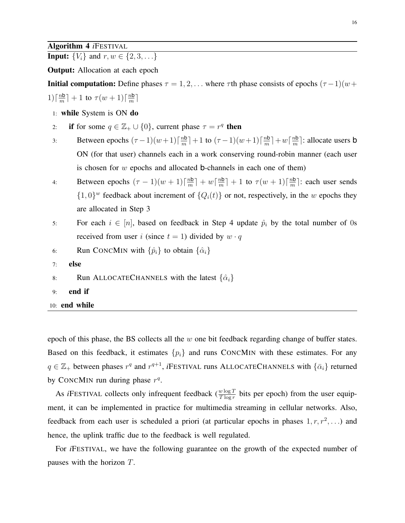### Algorithm 4 *i*FESTIVAL

<span id="page-15-0"></span>**Input:**  $\{V_i\}$  and  $r, w \in \{2, 3, \ldots\}$ 

Output: Allocation at each epoch

**Initial computation:** Define phases  $\tau = 1, 2, \ldots$  where  $\tau$ th phase consists of epochs  $(\tau - 1)(w + \tau)$  $1\big)\big\lceil\frac{n\mathsf{b}}{m}$  $\frac{m\mathbf{b}}{m}$ ] + 1 to  $\tau(w+1)$   $\lceil \frac{m\mathbf{b}}{m} \rceil$  $\frac{m}{m}$ 

- 1: while System is ON do
- 2: if for some  $q \in \mathbb{Z}_+ \cup \{0\}$ , current phase  $\tau = r^q$  then
- <span id="page-15-1"></span>3: Between epochs  $(\tau - 1)(w+1)\lceil \frac{nb}{m} \rceil$  $\frac{m\mathbf{b}}{m}$ ] + 1 to  $(\tau-1)(w+1)$   $\lceil \frac{m\mathbf{b}}{m} \rceil$  $\frac{m\mathsf{b}}{m}\rceil + w\lceil \frac{m\mathsf{b}}{m}$  $\frac{m}{m}$ : allocate users **b** ON (for that user) channels each in a work conserving round-robin manner (each user is chosen for  $w$  epochs and allocated **b**-channels in each one of them)
- <span id="page-15-2"></span>4: Between epochs  $(\tau - 1)(w + 1)\lceil \frac{nb}{m} \rceil$  $\frac{m}{m}$ ] +  $w\left\lceil \frac{m}{m} \right\rceil$  $\frac{m\mathbf{b}}{m}$ ] + 1 to  $\tau(w+1)$   $\lceil \frac{m\mathbf{b}}{m} \rceil$  $\frac{m}{m}$ : each user sends  $\{1,0\}^w$  feedback about increment of  $\{Q_i(t)\}\$  or not, respectively, in the w epochs they are allocated in Step [3](#page-15-1)
- 5: For each  $i \in [n]$ , based on feedback in Step [4](#page-15-2) update  $\hat{p}_i$  by the total number of 0s received from user i (since  $t = 1$ ) divided by  $w \cdot q$

6: Run CONCMIN with 
$$
\{\hat{p}_i\}
$$
 to obtain  $\{\hat{\alpha}_i\}$ 

- 7: else
- 8: Run ALLOCATECHANNELS with the latest  $\{\hat{\alpha}_i\}$
- 9: end if
- 10: end while

epoch of this phase, the BS collects all the  $w$  one bit feedback regarding change of buffer states. Based on this feedback, it estimates  $\{p_i\}$  and runs CONCMIN with these estimates. For any  $q \in \mathbb{Z}_+$  between phases  $r^q$  and  $r^{q+1}$ , *i*FESTIVAL runs ALLOCATECHANNELS with  $\{\bar{\alpha}_i\}$  returned by CONCMIN run during phase  $r<sup>q</sup>$ .

As *i*FESTIVAL collects only infrequent feedback ( $\frac{w \log T}{T \log r}$  bits per epoch) from the user equipment, it can be implemented in practice for multimedia streaming in cellular networks. Also, feedback from each user is scheduled a priori (at particular epochs in phases  $1, r, r^2, \ldots$ ) and hence, the uplink traffic due to the feedback is well regulated.

For *i*FESTIVAL, we have the following guarantee on the growth of the expected number of pauses with the horizon T.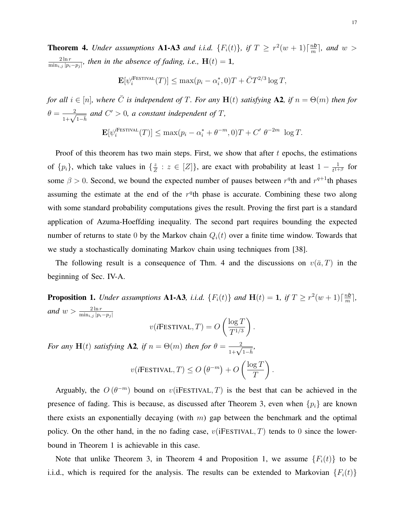<span id="page-16-0"></span>**Theorem 4.** Under assumptions **A1-A3** and i.i.d.  $\{F_i(t)\}\$ , if  $T \geq r^2(w+1)\lceil \frac{nb}{m} \rceil$  $\frac{m}{m}$ , and  $w >$  $2 \ln r$  $\frac{2 \ln r}{\min_{i,j} |p_i-p_j|}$ , then in the absence of fading, i.e.,  $\mathbf{H}(t) = 1$ ,

$$
\mathbf{E}[\psi_i^{\text{HESTINAL}}(T)] \le \max(p_i - \alpha_i^*, 0)T + \bar{C}T^{2/3}\log T,
$$

*for all*  $i \in [n]$ *, where*  $\overline{C}$  *is independent of* T*. For any*  $H(t)$  *satisfying* A2*, if*  $n = \Theta(m)$  *then for*  $\theta = \frac{2}{1+\sqrt{1-\bar{h}}}$  and  $C' > 0$ , a constant independent of T,

$$
\mathbf{E}[\psi_i^{\text{FESTVAL}}(T)] \le \max(p_i - \alpha_i^* + \theta^{-m}, 0)T + C' \ \theta^{-2m} \ \log T.
$$

Proof of this theorem has two main steps. First, we show that after  $t$  epochs, the estimations of  $\{p_i\}$ , which take values in  $\{\frac{z}{Z}\}$  $\frac{z}{Z}$  :  $z \in [Z]$ , are exact with probability at least  $1 - \frac{1}{t^{1+1}}$  $\frac{1}{t^{1+\beta}}$  for some  $\beta > 0$ . Second, we bound the expected number of pauses between  $r^q$ th and  $r^{q+1}$ th phases assuming the estimate at the end of the  $r<sup>q</sup>$ th phase is accurate. Combining these two along with some standard probability computations gives the result. Proving the first part is a standard application of Azuma-Hoeffding inequality. The second part requires bounding the expected number of returns to state 0 by the Markov chain  $Q_i(t)$  over a finite time window. Towards that we study a stochastically dominating Markov chain using techniques from [\[38\]](#page-24-3).

The following result is a consequence of Thm. [4](#page-16-0) and the discussions on  $v(\bar{a}, T)$  in the beginning of Sec. [IV-A.](#page-14-0)

<span id="page-16-1"></span>**Proposition 1.** Under assumptions **A1-A3**, i.i.d.  $\{F_i(t)\}$  and  $\mathbf{H}(t) = 1$ , if  $T \geq r^2(w+1)\lceil \frac{nb}{m} \rceil$  $\frac{m}{m}$ , and  $w > \frac{2 \ln r}{\min_{i,j} |p_i - p_j|}$ 

$$
v(i
$$
FESTINAL,  $T$ ) =  $O\left(\frac{\log T}{T^{1/3}}\right)$ .

 $\setminus$ .

*For any* **H**(*t*) *satisfying* **A2**, *if*  $n = \Theta(m)$  *then for*  $\theta = \frac{2}{1 + \sqrt{1 - \overline{h}}},$  $v(i$ Festival,  $T) \leq O(\theta^{-m}) + O$  $\int$ log T T

Arguably, the  $O(\theta^{-m})$  bound on  $v(iFESTVAL, T)$  is the best that can be achieved in the presence of fading. This is because, as discussed after Theorem [3,](#page-11-1) even when  $\{p_i\}$  are known there exists an exponentially decaying (with  $m$ ) gap between the benchmark and the optimal policy. On the other hand, in the no fading case,  $\overline{v}$  (iFESTIVAL, T) tends to 0 since the lowerbound in Theorem [1](#page-7-1) is achievable in this case.

Note that unlike Theorem [3,](#page-11-1) in Theorem [4](#page-16-0) and Proposition [1,](#page-16-1) we assume  ${F_i(t)}$  to be i.i.d., which is required for the analysis. The results can be extended to Markovian  $\{F_i(t)\}$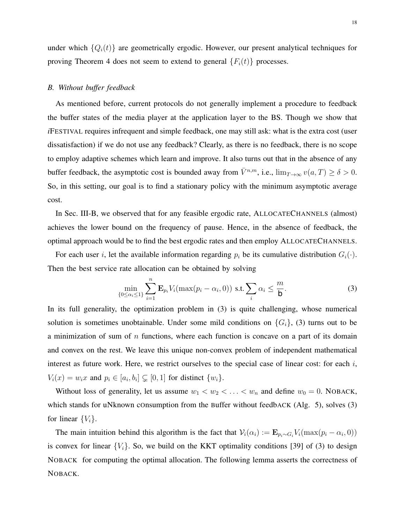under which  ${Q_i(t)}$  are geometrically ergodic. However, our present analytical techniques for proving Theorem [4](#page-16-0) does not seem to extend to general  ${F_i(t)}$  processes.

### <span id="page-17-0"></span>*B. Without buffer feedback*

As mentioned before, current protocols do not generally implement a procedure to feedback the buffer states of the media player at the application layer to the BS. Though we show that *i*FESTIVAL requires infrequent and simple feedback, one may still ask: what is the extra cost (user dissatisfaction) if we do not use any feedback? Clearly, as there is no feedback, there is no scope to employ adaptive schemes which learn and improve. It also turns out that in the absence of any buffer feedback, the asymptotic cost is bounded away from  $\bar{V}^{n,m}$ , i.e.,  $\lim_{T\to\infty} v(a,T) \ge \delta > 0$ . So, in this setting, our goal is to find a stationary policy with the minimum asymptotic average cost.

In Sec. [III-B,](#page-10-0) we observed that for any feasible ergodic rate, ALLOCATECHANNELS (almost) achieves the lower bound on the frequency of pause. Hence, in the absence of feedback, the optimal approach would be to find the best ergodic rates and then employ ALLOCATECHANNELS.

For each user i, let the available information regarding  $p_i$  be its cumulative distribution  $G_i(\cdot)$ . Then the best service rate allocation can be obtained by solving

<span id="page-17-1"></span>
$$
\min_{\{0 \le \alpha_i \le 1\}} \sum_{i=1}^n \mathbf{E}_{p_i} V_i(\max(p_i - \alpha_i, 0)) \text{ s.t. } \sum_i \alpha_i \le \frac{m}{\mathbf{b}}.\tag{3}
$$

In its full generality, the optimization problem in [\(3\)](#page-17-1) is quite challenging, whose numerical solution is sometimes unobtainable. Under some mild conditions on  $\{G_i\}$ , [\(3\)](#page-17-1) turns out to be a minimization of sum of  $n$  functions, where each function is concave on a part of its domain and convex on the rest. We leave this unique non-convex problem of independent mathematical interest as future work. Here, we restrict ourselves to the special case of linear cost: for each i,  $V_i(x) = w_i x$  and  $p_i \in [a_i, b_i] \subsetneq [0, 1]$  for distinct  $\{w_i\}$ .

Without loss of generality, let us assume  $w_1 < w_2 < \ldots < w_n$  and define  $w_0 = 0$ . NOBACK, which stands for uNknown cOnsumption from the Buffer without feedbACK (Alg. [5\)](#page-18-0), solves [\(3\)](#page-17-1) for linear  ${V_i}$ .

The main intuition behind this algorithm is the fact that  $V_i(\alpha_i) := \mathbf{E}_{p_i \sim G_i} V_i(\max(p_i - \alpha_i, 0))$ is convex for linear  $\{V_i\}$ . So, we build on the KKT optimality conditions [\[39\]](#page-24-4) of [\(3\)](#page-17-1) to design NOBACK for computing the optimal allocation. The following lemma asserts the correctness of NOBACK.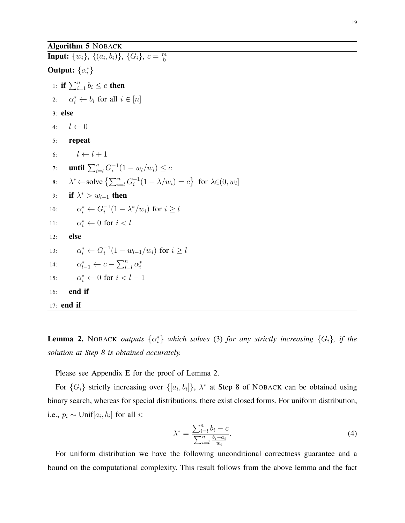### Algorithm 5 NOBACK

<span id="page-18-7"></span><span id="page-18-5"></span><span id="page-18-4"></span><span id="page-18-1"></span><span id="page-18-0"></span>**Input:**  $\{w_i\}$ ,  $\{(a_i, b_i)\}$ ,  $\{G_i\}$ ,  $c = \frac{m}{b}$ b **Output:**  $\{\alpha_i^*\}$ 1: if  $\sum_{i=1}^n b_i \leq c$  then 2:  $\alpha_i^* \leftarrow b_i$  for all  $i \in [n]$ 3: else 4:  $l \leftarrow 0$ 5: repeat 6:  $l \leftarrow l + 1$ 7: **until**  $\sum_{i=l}^{n} G_i^{-1}$  $i^{-1}(1-w_l/w_i) \leq c$ 8:  $\lambda^*$  ← solve  $\left\{ \sum_{i=l}^n G_i^{-1} \right\}$  $i^{-1}(1 - \lambda/w_i) = c$ } for  $\lambda \in (0, w_i]$ 9: if  $\lambda^* > w_{l-1}$  then 10:  $\alpha_i^* \leftarrow G_i^{-1}$  $i^{-1}(1 - \lambda^*/w_i)$  for  $i \geq l$ 11:  $\alpha_i^* \leftarrow 0 \text{ for } i < l$ 12: else 13:  $\alpha_i^* \leftarrow G_i^{-1}$  $i_{i}^{-1}(1-w_{l-1}/w_{i})$  for  $i \geq l$ 14:  $\alpha_{l-1}^* \leftarrow c - \sum_{i=l}^n \alpha_i^*$ 15:  $\alpha_i^* \leftarrow 0 \text{ for } i < l-1$ 16: end if 17: end if

<span id="page-18-6"></span><span id="page-18-2"></span>**Lemma 2.** NOBACK *outputs*  $\{\alpha_i^*\}$  *which solves* [\(3\)](#page-17-1) *for any strictly increasing*  $\{G_i\}$ *, if the solution at Step [8](#page-18-1) is obtained accurately.*

Please see Appendix [E](#page-31-0) for the proof of Lemma [2.](#page-18-2)

For  $\{G_i\}$  strictly increasing over  $\{[a_i, b_i]\}, \lambda^*$  at Step [8](#page-18-1) of NOBACK can be obtained using binary search, whereas for special distributions, there exist closed forms. For uniform distribution, i.e.,  $p_i \sim \text{Unif}[a_i, b_i]$  for all *i*:

<span id="page-18-3"></span>
$$
\lambda^* = \frac{\sum_{i=l}^n b_i - c}{\sum_{i=l}^n \frac{b_i - a_i}{w_i}}.
$$
\n(4)

For uniform distribution we have the following unconditional correctness guarantee and a bound on the computational complexity. This result follows from the above lemma and the fact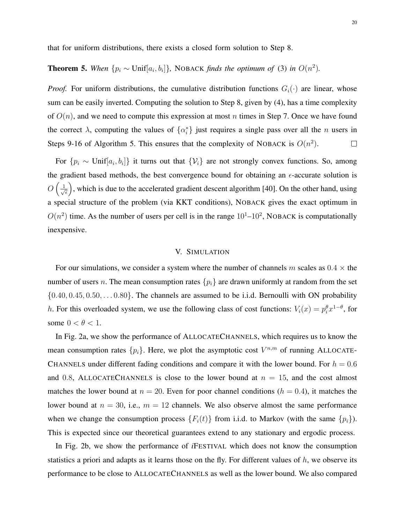that for uniform distributions, there exists a closed form solution to Step [8.](#page-18-1)

# **Theorem 5.** When  $\{p_i \sim \text{Unif}[a_i, b_i]\}$ , NOBACK *finds the optimum of* [\(3\)](#page-17-1) *in*  $O(n^2)$ *.*

*Proof.* For uniform distributions, the cumulative distribution functions  $G_i(\cdot)$  are linear, whose sum can be easily inverted. Computing the solution to Step [8,](#page-18-1) given by [\(4\)](#page-18-3), has a time complexity of  $O(n)$ , and we need to compute this expression at most n times in Step [7.](#page-18-4) Once we have found the correct  $\lambda$ , computing the values of  $\{\alpha_i^*\}$  just requires a single pass over all the *n* users in Steps [9](#page-18-5)[-16](#page-18-6) of Algorithm [5.](#page-18-0) This ensures that the complexity of NOBACK is  $O(n^2)$ .  $\Box$ 

For  $\{p_i \sim \text{Unif}[a_i, b_i]\}$  it turns out that  $\{\mathcal{V}_i\}$  are not strongly convex functions. So, among the gradient based methods, the best convergence bound for obtaining an  $\epsilon$ -accurate solution is  $O\left(\frac{1}{\sqrt{2}}\right)$  $(\frac{1}{\epsilon})$ , which is due to the accelerated gradient descent algorithm [\[40\]](#page-24-5). On the other hand, using a special structure of the problem (via KKT conditions), NOBACK gives the exact optimum in  $O(n^2)$  time. As the number of users per cell is in the range  $10^1$ – $10^2$ , NOBACK is computationally inexpensive.

### V. SIMULATION

<span id="page-19-0"></span>For our simulations, we consider a system where the number of channels m scales as  $0.4 \times$  the number of users n. The mean consumption rates  $\{p_i\}$  are drawn uniformly at random from the set  $\{0.40, 0.45, 0.50, \ldots 0.80\}$ . The channels are assumed to be i.i.d. Bernoulli with ON probability h. For this overloaded system, we use the following class of cost functions:  $V_i(x) = p_i^{\theta} x^{1-\theta}$ , for some  $0 < \theta < 1$ .

In Fig. [2a,](#page-20-0) we show the performance of ALLOCATECHANNELS, which requires us to know the mean consumption rates  $\{p_i\}$ . Here, we plot the asymptotic cost  $V^{n,m}$  of running ALLOCATE-CHANNELS under different fading conditions and compare it with the lower bound. For  $h = 0.6$ and 0.8, ALLOCATECHANNELS is close to the lower bound at  $n = 15$ , and the cost almost matches the lower bound at  $n = 20$ . Even for poor channel conditions ( $h = 0.4$ ), it matches the lower bound at  $n = 30$ , i.e.,  $m = 12$  channels. We also observe almost the same performance when we change the consumption process  $\{F_i(t)\}\$  from i.i.d. to Markov (with the same  $\{p_i\}$ ). This is expected since our theoretical guarantees extend to any stationary and ergodic process.

In Fig. [2b,](#page-20-1) we show the performance of *i*FESTIVAL which does not know the consumption statistics a priori and adapts as it learns those on the fly. For different values of  $h$ , we observe its performance to be close to ALLOCATECHANNELS as well as the lower bound. We also compared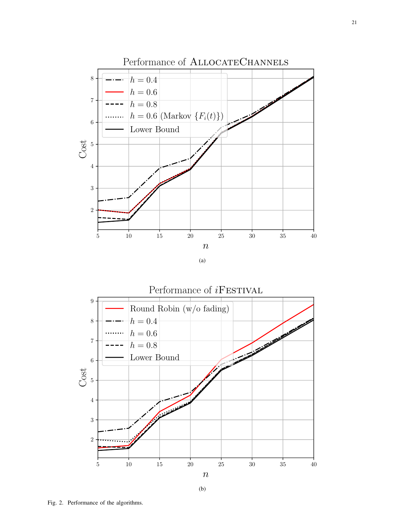<span id="page-20-0"></span>

<span id="page-20-1"></span>

Fig. 2. Performance of the algorithms.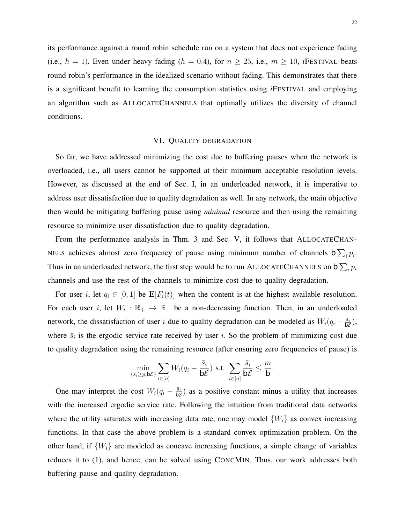its performance against a round robin schedule run on a system that does not experience fading (i.e.,  $h = 1$ ). Even under heavy fading ( $h = 0.4$ ), for  $n \ge 25$ , i.e.,  $m \ge 10$ , *i*FESTIVAL beats round robin's performance in the idealized scenario without fading. This demonstrates that there is a significant benefit to learning the consumption statistics using *i*FESTIVAL and employing an algorithm such as ALLOCATECHANNELS that optimally utilizes the diversity of channel conditions.

### VI. QUALITY DEGRADATION

<span id="page-21-0"></span>So far, we have addressed minimizing the cost due to buffering pauses when the network is overloaded, i.e., all users cannot be supported at their minimum acceptable resolution levels. However, as discussed at the end of Sec. [I,](#page-0-0) in an underloaded network, it is imperative to address user dissatisfaction due to quality degradation as well. In any network, the main objective then would be mitigating buffering pause using *minimal* resource and then using the remaining resource to minimize user dissatisfaction due to quality degradation.

From the performance analysis in Thm. [3](#page-11-1) and Sec. [V,](#page-19-0) it follows that ALLOCATECHAN-NELS achieves almost zero frequency of pause using minimum number of channels  $b \sum_i p_i$ . Thus in an underloaded network, the first step would be to run ALLOCATECHANNELS on  $\mathsf{b}\sum_i p_i$ channels and use the rest of the channels to minimize cost due to quality degradation.

For user i, let  $q_i \in [0,1]$  be  $\mathbf{E}[F_i(t)]$  when the content is at the highest available resolution. For each user i, let  $W_i : \mathbb{R}_+ \to \mathbb{R}_+$  be a non-decreasing function. Then, in an underloaded network, the dissatisfaction of user i due to quality degradation can be modeled as  $W_i(q_i - \frac{\bar{s}_i}{b\xi})$  $\frac{\bar{s}_i}{\mathsf{b}\mathcal{E}}\big),$ where  $\bar{s}_i$  is the ergodic service rate received by user i. So the problem of minimizing cost due to quality degradation using the remaining resource (after ensuring zero frequencies of pause) is

$$
\min_{\{\bar{s}_i \ge p_i b \mathcal{E}\}} \sum_{i \in [n]} W_i (q_i - \frac{\bar{s}_i}{b \mathcal{E}}) \text{ s.t. } \sum_{i \in [n]} \frac{\bar{s}_i}{b \mathcal{E}} \le \frac{m}{b}
$$

.

One may interpret the cost  $W_i(q_i - \frac{\bar{s}_i}{b \ell})$  $\frac{s_i}{b\mathcal{E}}$  as a positive constant minus a utility that increases with the increased ergodic service rate. Following the intuition from traditional data networks where the utility saturates with increasing data rate, one may model  $\{W_i\}$  as convex increasing functions. In that case the above problem is a standard convex optimization problem. On the other hand, if  $\{W_i\}$  are modeled as concave increasing functions, a simple change of variables reduces it to [\(1\)](#page-7-2), and hence, can be solved using CONCMIN. Thus, our work addresses both buffering pause and quality degradation.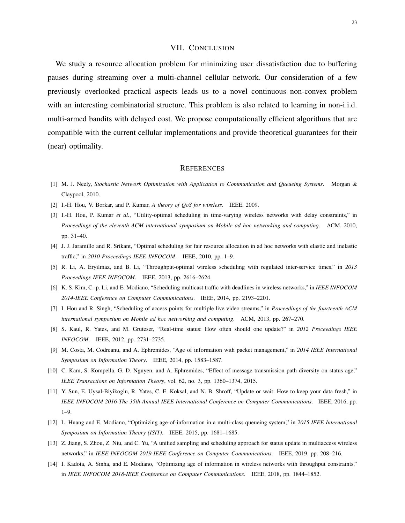### VII. CONCLUSION

<span id="page-22-5"></span>We study a resource allocation problem for minimizing user dissatisfaction due to buffering pauses during streaming over a multi-channel cellular network. Our consideration of a few previously overlooked practical aspects leads us to a novel continuous non-convex problem with an interesting combinatorial structure. This problem is also related to learning in non-i.i.d. multi-armed bandits with delayed cost. We propose computationally efficient algorithms that are compatible with the current cellular implementations and provide theoretical guarantees for their (near) optimality.

### **REFERENCES**

- <span id="page-22-0"></span>[1] M. J. Neely, *Stochastic Network Optimization with Application to Communication and Queueing Systems*. Morgan & Claypool, 2010.
- <span id="page-22-1"></span>[2] I.-H. Hou, V. Borkar, and P. Kumar, *A theory of QoS for wireless*. IEEE, 2009.
- [3] I.-H. Hou, P. Kumar *et al.*, "Utility-optimal scheduling in time-varying wireless networks with delay constraints," in *Proceedings of the eleventh ACM international symposium on Mobile ad hoc networking and computing*. ACM, 2010, pp. 31–40.
- [4] J. J. Jaramillo and R. Srikant, "Optimal scheduling for fair resource allocation in ad hoc networks with elastic and inelastic traffic," in *2010 Proceedings IEEE INFOCOM*. IEEE, 2010, pp. 1–9.
- [5] R. Li, A. Eryilmaz, and B. Li, "Throughput-optimal wireless scheduling with regulated inter-service times," in *2013 Proceedings IEEE INFOCOM*. IEEE, 2013, pp. 2616–2624.
- [6] K. S. Kim, C.-p. Li, and E. Modiano, "Scheduling multicast traffic with deadlines in wireless networks," in *IEEE INFOCOM 2014-IEEE Conference on Computer Communications*. IEEE, 2014, pp. 2193–2201.
- <span id="page-22-2"></span>[7] I. Hou and R. Singh, "Scheduling of access points for multiple live video streams," in *Proceedings of the fourteenth ACM international symposium on Mobile ad hoc networking and computing*. ACM, 2013, pp. 267–270.
- <span id="page-22-3"></span>[8] S. Kaul, R. Yates, and M. Gruteser, "Real-time status: How often should one update?" in *2012 Proceedings IEEE INFOCOM*. IEEE, 2012, pp. 2731–2735.
- [9] M. Costa, M. Codreanu, and A. Ephremides, "Age of information with packet management," in *2014 IEEE International Symposium on Information Theory*. IEEE, 2014, pp. 1583–1587.
- [10] C. Kam, S. Kompella, G. D. Nguyen, and A. Ephremides, "Effect of message transmission path diversity on status age," *IEEE Transactions on Information Theory*, vol. 62, no. 3, pp. 1360–1374, 2015.
- [11] Y. Sun, E. Uysal-Biyikoglu, R. Yates, C. E. Koksal, and N. B. Shroff, "Update or wait: How to keep your data fresh," in *IEEE INFOCOM 2016-The 35th Annual IEEE International Conference on Computer Communications*. IEEE, 2016, pp. 1–9.
- [12] L. Huang and E. Modiano, "Optimizing age-of-information in a multi-class queueing system," in *2015 IEEE International Symposium on Information Theory (ISIT)*. IEEE, 2015, pp. 1681–1685.
- [13] Z. Jiang, S. Zhou, Z. Niu, and C. Yu, "A unified sampling and scheduling approach for status update in multiaccess wireless networks," in *IEEE INFOCOM 2019-IEEE Conference on Computer Communications*. IEEE, 2019, pp. 208–216.
- <span id="page-22-4"></span>[14] I. Kadota, A. Sinha, and E. Modiano, "Optimizing age of information in wireless networks with throughput constraints," in *IEEE INFOCOM 2018-IEEE Conference on Computer Communications*. IEEE, 2018, pp. 1844–1852.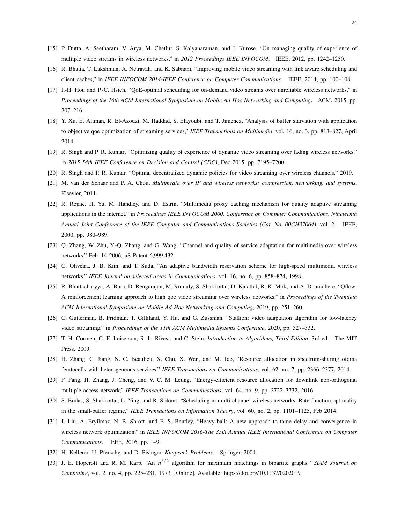- <span id="page-23-0"></span>[15] P. Dutta, A. Seetharam, V. Arya, M. Chetlur, S. Kalyanaraman, and J. Kurose, "On managing quality of experience of multiple video streams in wireless networks," in *2012 Proceedings IEEE INFOCOM*. IEEE, 2012, pp. 1242–1250.
- <span id="page-23-1"></span>[16] R. Bhatia, T. Lakshman, A. Netravali, and K. Sabnani, "Improving mobile video streaming with link aware scheduling and client caches," in *IEEE INFOCOM 2014-IEEE Conference on Computer Communications*. IEEE, 2014, pp. 100–108.
- <span id="page-23-2"></span>[17] I.-H. Hou and P.-C. Hsieh, "QoE-optimal scheduling for on-demand video streams over unreliable wireless networks," in *Proceedings of the 16th ACM International Symposium on Mobile Ad Hoc Networking and Computing*. ACM, 2015, pp. 207–216.
- <span id="page-23-3"></span>[18] Y. Xu, E. Altman, R. El-Azouzi, M. Haddad, S. Elayoubi, and T. Jimenez, "Analysis of buffer starvation with application to objective qoe optimization of streaming services," *IEEE Transactions on Multimedia*, vol. 16, no. 3, pp. 813–827, April 2014.
- <span id="page-23-4"></span>[19] R. Singh and P. R. Kumar, "Optimizing quality of experience of dynamic video streaming over fading wireless networks," in *2015 54th IEEE Conference on Decision and Control (CDC)*, Dec 2015, pp. 7195–7200.
- <span id="page-23-5"></span>[20] R. Singh and P. R. Kumar, "Optimal decentralized dynamic policies for video streaming over wireless channels," 2019.
- <span id="page-23-6"></span>[21] M. van der Schaar and P. A. Chou, *Multimedia over IP and wireless networks: compression, networking, and systems*. Elsevier, 2011.
- [22] R. Rejaie, H. Yu, M. Handley, and D. Estrin, "Multimedia proxy caching mechanism for quality adaptive streaming applications in the internet," in *Proceedings IEEE INFOCOM 2000. Conference on Computer Communications. Nineteenth Annual Joint Conference of the IEEE Computer and Communications Societies (Cat. No. 00CH37064)*, vol. 2. IEEE, 2000, pp. 980–989.
- [23] Q. Zhang, W. Zhu, Y.-Q. Zhang, and G. Wang, "Channel and quality of service adaptation for multimedia over wireless networks," Feb. 14 2006, uS Patent 6,999,432.
- [24] C. Oliveira, J. B. Kim, and T. Suda, "An adaptive bandwidth reservation scheme for high-speed multimedia wireless networks," *IEEE Journal on selected areas in Communications*, vol. 16, no. 6, pp. 858–874, 1998.
- [25] R. Bhattacharyya, A. Bura, D. Rengarajan, M. Rumuly, S. Shakkottai, D. Kalathil, R. K. Mok, and A. Dhamdhere, "Qflow: A reinforcement learning approach to high qoe video streaming over wireless networks," in *Proceedings of the Twentieth ACM International Symposium on Mobile Ad Hoc Networking and Computing*, 2019, pp. 251–260.
- <span id="page-23-7"></span>[26] C. Gutterman, B. Fridman, T. Gilliland, Y. Hu, and G. Zussman, "Stallion: video adaptation algorithm for low-latency video streaming," in *Proceedings of the 11th ACM Multimedia Systems Conference*, 2020, pp. 327–332.
- <span id="page-23-8"></span>[27] T. H. Cormen, C. E. Leiserson, R. L. Rivest, and C. Stein, *Introduction to Algorithms, Third Edition*, 3rd ed. The MIT Press, 2009.
- <span id="page-23-9"></span>[28] H. Zhang, C. Jiang, N. C. Beaulieu, X. Chu, X. Wen, and M. Tao, "Resource allocation in spectrum-sharing ofdma femtocells with heterogeneous services," *IEEE Transactions on Communications*, vol. 62, no. 7, pp. 2366–2377, 2014.
- [29] F. Fang, H. Zhang, J. Cheng, and V. C. M. Leung, "Energy-efficient resource allocation for downlink non-orthogonal multiple access network," *IEEE Transactions on Communications*, vol. 64, no. 9, pp. 3722–3732, 2016.
- <span id="page-23-10"></span>[30] S. Bodas, S. Shakkottai, L. Ying, and R. Srikant, "Scheduling in multi-channel wireless networks: Rate function optimality in the small-buffer regime," *IEEE Transactions on Information Theory*, vol. 60, no. 2, pp. 1101–1125, Feb 2014.
- <span id="page-23-11"></span>[31] J. Liu, A. Eryilmaz, N. B. Shroff, and E. S. Bentley, "Heavy-ball: A new approach to tame delay and convergence in wireless network optimization," in *IEEE INFOCOM 2016-The 35th Annual IEEE International Conference on Computer Communications*. IEEE, 2016, pp. 1–9.
- <span id="page-23-12"></span>[32] H. Kellerer, U. Pferschy, and D. Pisinger, *Knapsack Problems*. Springer, 2004.
- <span id="page-23-13"></span>[33] J. E. Hopcroft and R. M. Karp, "An n 5/2 algorithm for maximum matchings in bipartite graphs," *SIAM Journal on Computing*, vol. 2, no. 4, pp. 225–231, 1973. [Online]. Available:<https://doi.org/10.1137/0202019>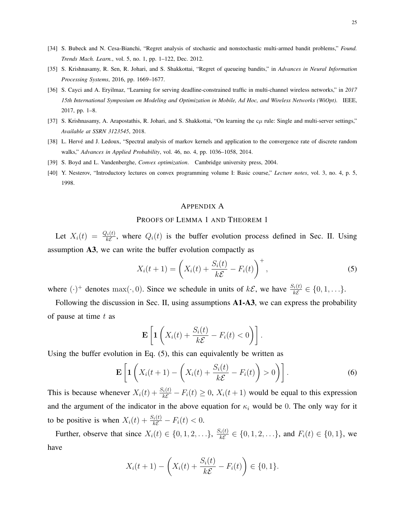- <span id="page-24-0"></span>[34] S. Bubeck and N. Cesa-Bianchi, "Regret analysis of stochastic and nonstochastic multi-armed bandit problems," *Found. Trends Mach. Learn.*, vol. 5, no. 1, pp. 1–122, Dec. 2012.
- <span id="page-24-1"></span>[35] S. Krishnasamy, R. Sen, R. Johari, and S. Shakkottai, "Regret of queueing bandits," in *Advances in Neural Information Processing Systems*, 2016, pp. 1669–1677.
- [36] S. Cayci and A. Eryilmaz, "Learning for serving deadline-constrained traffic in multi-channel wireless networks," in *2017 15th International Symposium on Modeling and Optimization in Mobile, Ad Hoc, and Wireless Networks (WiOpt)*. IEEE, 2017, pp. 1–8.
- <span id="page-24-2"></span>[37] S. Krishnasamy, A. Arapostathis, R. Johari, and S. Shakkottai, "On learning the  $c\mu$  rule: Single and multi-server settings," *Available at SSRN 3123545*, 2018.
- <span id="page-24-3"></span>[38] L. Hervé and J. Ledoux, "Spectral analysis of markov kernels and application to the convergence rate of discrete random walks," *Advances in Applied Probability*, vol. 46, no. 4, pp. 1036–1058, 2014.
- <span id="page-24-4"></span>[39] S. Boyd and L. Vandenberghe, *Convex optimization*. Cambridge university press, 2004.
- <span id="page-24-5"></span>[40] Y. Nesterov, "Introductory lectures on convex programming volume I: Basic course," *Lecture notes*, vol. 3, no. 4, p. 5, 1998.

### <span id="page-24-6"></span>APPENDIX A

### PROOFS OF LEMMA [1](#page-7-1) AND THEOREM 1

Let  $X_i(t) = \frac{Q_i(t)}{k\mathcal{E}}$ , where  $Q_i(t)$  is the buffer evolution process defined in Sec. [II.](#page-3-0) Using assumption A3, we can write the buffer evolution compactly as

$$
X_i(t+1) = \left(X_i(t) + \frac{S_i(t)}{k\mathcal{E}} - F_i(t)\right)^+, \tag{5}
$$

where  $(\cdot)^+$  denotes  $\max(\cdot, 0)$ . Since we schedule in units of  $k\mathcal{E}$ , we have  $\frac{S_i(t)}{k\mathcal{E}} \in \{0, 1, \ldots\}$ .

Following the discussion in Sec. [II,](#page-3-0) using assumptions **A1-A3**, we can express the probability of pause at time  $t$  as

<span id="page-24-7"></span>
$$
\mathbf{E}\left[\mathbf{1}\left(X_i(t)+\frac{S_i(t)}{k\mathcal{E}}-F_i(t)<0\right)\right].
$$

Using the buffer evolution in Eq. [\(5\)](#page-24-6), this can equivalently be written as

$$
\mathbf{E}\left[\mathbf{1}\left(X_i(t+1)-\left(X_i(t)+\frac{S_i(t)}{k\mathcal{E}}-F_i(t)\right)>0\right)\right].
$$
\n(6)

This is because whenever  $X_i(t) + \frac{S_i(t)}{k\mathcal{E}} - F_i(t) \ge 0$ ,  $X_i(t+1)$  would be equal to this expression and the argument of the indicator in the above equation for  $\kappa_i$  would be 0. The only way for it to be positive is when  $X_i(t) + \frac{S_i(t)}{k\mathcal{E}} - F_i(t) < 0$ .

Further, observe that since  $X_i(t) \in \{0, 1, 2, \ldots\}$ ,  $\frac{S_i(t)}{k\mathcal{E}}$  $\frac{f_i(t)}{k\mathcal{E}} \in \{0, 1, 2, \ldots\}$ , and  $F_i(t) \in \{0, 1\}$ , we have

$$
X_i(t+1) - \left(X_i(t) + \frac{S_i(t)}{k\mathcal{E}} - F_i(t)\right) \in \{0, 1\}.
$$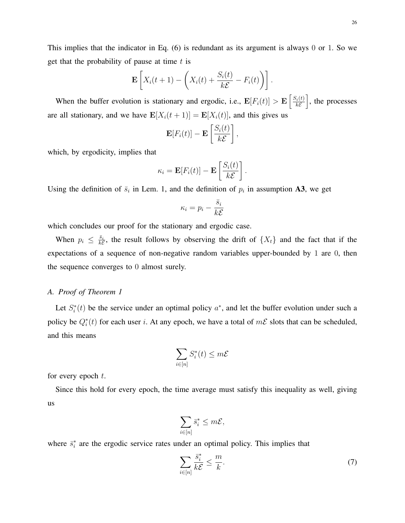This implies that the indicator in Eq. [\(6\)](#page-24-7) is redundant as its argument is always 0 or 1. So we get that the probability of pause at time  $t$  is

$$
\mathbf{E}\left[X_i(t+1)-\left(X_i(t)+\frac{S_i(t)}{k\mathcal{E}}-F_i(t)\right)\right].
$$

When the buffer evolution is stationary and ergodic, i.e.,  $\mathbf{E}[F_i(t)] > \mathbf{E}\left[\frac{S_i(t)}{k\epsilon}\right]$  $\sqrt[k]{\epsilon}$  is the processes are all stationary, and we have  $\mathbf{E}[X_i(t+1)] = \mathbf{E}[X_i(t)]$ , and this gives us

$$
\mathbf{E}[F_i(t)] - \mathbf{E}\left[\frac{S_i(t)}{k\mathcal{E}}\right],
$$

which, by ergodicity, implies that

$$
\kappa_i = \mathbf{E}[F_i(t)] - \mathbf{E}\left[\frac{S_i(t)}{k\mathcal{E}}\right].
$$

Using the definition of  $\bar{s}_i$  in Lem. [1,](#page-7-3) and the definition of  $p_i$  in assumption A3, we get

$$
\kappa_i = p_i - \frac{\bar{s}_i}{k\mathcal{E}}
$$

which concludes our proof for the stationary and ergodic case.

When  $p_i \leq \frac{\bar{s}_i}{k \varepsilon}$  $\frac{s_i}{k\mathcal{E}}$ , the result follows by observing the drift of  $\{X_t\}$  and the fact that if the expectations of a sequence of non-negative random variables upper-bounded by 1 are 0, then the sequence converges to 0 almost surely.

### *A. Proof of Theorem [1](#page-7-1)*

Let  $S_i^*(t)$  be the service under an optimal policy  $a^*$ , and let the buffer evolution under such a policy be  $Q_i^*(t)$  for each user i. At any epoch, we have a total of  $m\mathcal{E}$  slots that can be scheduled, and this means

$$
\sum_{i\in [n]} S^*_i(t) \leq m\mathcal{E}
$$

for every epoch  $t$ .

Since this hold for every epoch, the time average must satisfy this inequality as well, giving us

$$
\sum_{i\in [n]}\bar{s}^*_i\leq m\mathcal{E},
$$

where  $\bar{s}^*_i$  are the ergodic service rates under an optimal policy. This implies that

<span id="page-25-0"></span>
$$
\sum_{i \in [n]} \frac{\bar{s}_i^*}{k \mathcal{E}} \le \frac{m}{k}.\tag{7}
$$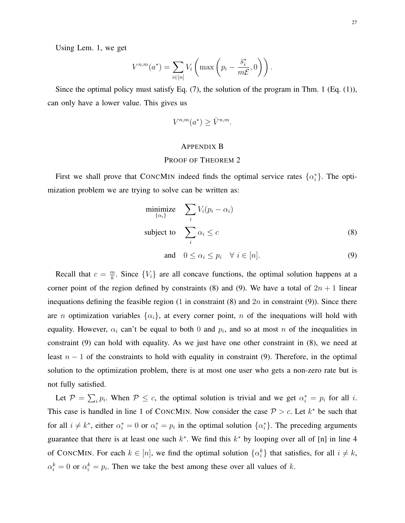Using Lem. [1,](#page-7-3) we get

$$
V^{n,m}(a^*) = \sum_{i \in [n]} V_i \left( \max \left( p_i - \frac{\bar{s}_i^*}{m \mathcal{E}}, 0 \right) \right).
$$

Since the optimal policy must satisfy Eq. [\(7\)](#page-25-0), the solution of the program in Thm. [1](#page-7-1) (Eq. [\(1\)](#page-7-2)), can only have a lower value. This gives us

$$
V^{n,m}(a^*) \ge \overline{V}^{n,m}.
$$

### <span id="page-26-0"></span>APPENDIX B

### PROOF OF THEOREM [2](#page-8-1)

First we shall prove that CONCMIN indeed finds the optimal service rates  $\{\alpha_i^*\}$ . The optimization problem we are trying to solve can be written as:

$$
\underset{\{\alpha_i\}}{\text{minimize}} \quad \sum_i V_i (p_i - \alpha_i)
$$
\n
$$
\text{subject to} \quad \sum_i \alpha_i \le c \tag{8}
$$

<span id="page-26-1"></span>and  $0 \leq \alpha_i \leq p_i \quad \forall i \in [n].$  (9)

Recall that  $c = \frac{m}{k}$  $\frac{m}{k}$ . Since  $\{V_i\}$  are all concave functions, the optimal solution happens at a corner point of the region defined by constraints [\(8\)](#page-26-0) and [\(9\)](#page-26-1). We have a total of  $2n + 1$  linear inequations defining the feasible region (1 in constraint [\(8\)](#page-26-0) and  $2n$  in constraint [\(9\)](#page-26-1)). Since there are *n* optimization variables  $\{\alpha_i\}$ , at every corner point, *n* of the inequations will hold with equality. However,  $\alpha_i$  can't be equal to both 0 and  $p_i$ , and so at most n of the inequalities in constraint [\(9\)](#page-26-1) can hold with equality. As we just have one other constraint in [\(8\)](#page-26-0), we need at least  $n - 1$  of the constraints to hold with equality in constraint [\(9\)](#page-26-1). Therefore, in the optimal solution to the optimization problem, there is at most one user who gets a non-zero rate but is not fully satisfied.

Let  $\mathcal{P} = \sum_i p_i$ . When  $\mathcal{P} \le c$ , the optimal solution is trivial and we get  $\alpha_i^* = p_i$  for all i. This case is handled in line [1](#page-9-1) of CONCMIN. Now consider the case  $P > c$ . Let  $k^*$  be such that for all  $i \neq k^*$ , either  $\alpha_i^* = 0$  or  $\alpha_i^* = p_i$  in the optimal solution  $\{\alpha_i^*\}$ . The preceding arguments guarantee that there is at least one such  $k^*$ . We find this  $k^*$  by looping over all of [n] in line [4](#page-9-2) of CONCMIN. For each  $k \in [n]$ , we find the optimal solution  $\{\alpha_i^k\}$  that satisfies, for all  $i \neq k$ ,  $\alpha_i^k = 0$  or  $\alpha_i^k = p_i$ . Then we take the best among these over all values of k.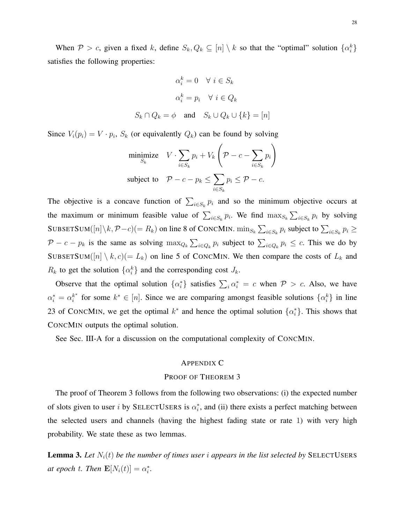When  $P > c$ , given a fixed k, define  $S_k, Q_k \subseteq [n] \setminus k$  so that the "optimal" solution  $\{\alpha_i^k\}$ satisfies the following properties:

$$
\alpha_i^k = 0 \quad \forall \ i \in S_k
$$

$$
\alpha_i^k = p_i \quad \forall \ i \in Q_k
$$

$$
S_k \cap Q_k = \phi \quad \text{and} \quad S_k \cup Q_k \cup \{k\} = [n]
$$

Since  $V_i(p_i) = V \cdot p_i$ ,  $S_k$  (or equivalently  $Q_k$ ) can be found by solving

$$
\begin{aligned}\n\text{minimize} & V \cdot \sum_{i \in S_k} p_i + V_k \left( \mathcal{P} - c - \sum_{i \in S_k} p_i \right) \\
\text{subject to} & \mathcal{P} - c - p_k \le \sum_{i \in S_k} p_i \le \mathcal{P} - c.\n\end{aligned}
$$

The objective is a concave function of  $\sum_{i \in S_k} p_i$  and so the minimum objective occurs at the maximum or minimum feasible value of  $\sum_{i \in S_k} p_i$ . We find  $\max_{S_k} \sum_{i \in S_k} p_i$  by solving SUBSETSUM( $[n]\setminus k$ ,  $\mathcal{P}-c$ ) $(= R_k)$  on line [8](#page-9-6) of CONCMIN.  $\min_{S_k} \sum_{i \in S_k} p_i$  subject to  $\sum_{i \in S_k} p_i \ge$  $\mathcal{P} - c - p_k$  is the same as solving  $\max_{Q_k} \sum_{i \in Q_k} p_i$  subject to  $\sum_{i \in Q_k} p_i \leq c$ . This we do by SUBSETSUM( $[n] \setminus k, c$ ) on line [5](#page-9-5) of CONCMIN. We then compare the costs of  $L_k$  and  $R_k$  to get the solution  $\{\alpha_i^k\}$  and the corresponding cost  $J_k$ .

Observe that the optimal solution  $\{\alpha_i^*\}$  satisfies  $\sum_i \alpha_i^* = c$  when  $P > c$ . Also, we have  $\alpha_i^* = \alpha_i^{k^*}$  $i^*$  for some  $k^* \in [n]$ . Since we are comparing amongst feasible solutions  $\{\alpha_i^k\}$  in line [23](#page-9-4) of CONCMIN, we get the optimal  $k^*$  and hence the optimal solution  $\{\alpha_i^*\}$ . This shows that CONCMIN outputs the optimal solution.

See Sec. [III-A](#page-8-0) for a discussion on the computational complexity of CONCMIN.

### <span id="page-27-1"></span>APPENDIX C

### PROOF OF THEOREM [3](#page-11-1)

The proof of Theorem [3](#page-11-1) follows from the following two observations: (i) the expected number of slots given to user i by SELECTUSERS is  $\alpha_i^*$ , and (ii) there exists a perfect matching between the selected users and channels (having the highest fading state or rate 1) with very high probability. We state these as two lemmas.

<span id="page-27-0"></span>**Lemma 3.** Let  $N_i(t)$  be the number of times user i appears in the list selected by SELECTUSERS *at epoch t. Then*  $\mathbf{E}[N_i(t)] = \alpha_i^*$ .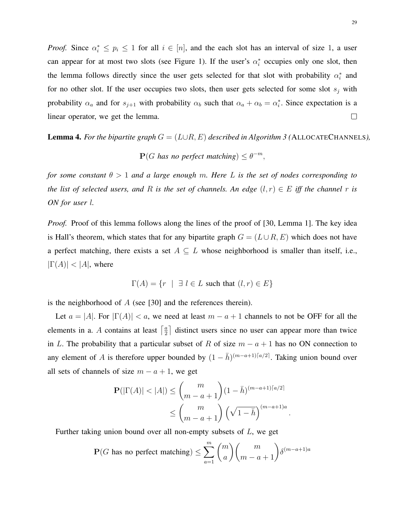*Proof.* Since  $\alpha_i^* \leq p_i \leq 1$  for all  $i \in [n]$ , and the each slot has an interval of size 1, a user can appear for at most two slots (see Figure [1\)](#page-11-0). If the user's  $\alpha_i^*$  occupies only one slot, then the lemma follows directly since the user gets selected for that slot with probability  $\alpha_i^*$  and for no other slot. If the user occupies two slots, then user gets selected for some slot  $s_j$  with probability  $\alpha_a$  and for  $s_{j+1}$  with probability  $\alpha_b$  such that  $\alpha_a + \alpha_b = \alpha_i^*$ . Since expectation is a linear operator, we get the lemma.  $\Box$ 

<span id="page-28-0"></span>**Lemma 4.** For the bipartite graph  $G = (L \cup R, E)$  described in Algorithm [3](#page-13-1) (ALLOCATECHANNELS),

 $\mathbf{P}(G \text{ has no perfect matching}) \leq \theta^{-m}$ ,

*for some constant* θ > 1 *and a large enough* m*. Here* L *is the set of nodes corresponding to the list of selected users, and* R *is the set of channels. An edge*  $(l, r) \in E$  *iff the channel* r *is ON for user* l*.*

*Proof.* Proof of this lemma follows along the lines of the proof of [\[30,](#page-23-10) Lemma 1]. The key idea is Hall's theorem, which states that for any bipartite graph  $G = (L \cup R, E)$  which does not have a perfect matching, there exists a set  $A \subseteq L$  whose neighborhood is smaller than itself, i.e.,  $|\Gamma(A)| < |A|$ , where

$$
\Gamma(A) = \{ r \mid \exists l \in L \text{ such that } (l, r) \in E \}
$$

is the neighborhood of  $A$  (see [\[30\]](#page-23-10) and the references therein).

Let  $a = |A|$ . For  $|\Gamma(A)| < a$ , we need at least  $m - a + 1$  channels to not be OFF for all the elements in a. A contains at least  $\lceil \frac{a}{2} \rceil$  $\frac{a}{2}$  distinct users since no user can appear more than twice in L. The probability that a particular subset of R of size  $m - a + 1$  has no ON connection to any element of A is therefore upper bounded by  $(1 - \bar{h})^{(m-a+1)\lceil a/2 \rceil}$ . Taking union bound over all sets of channels of size  $m - a + 1$ , we get

$$
\mathbf{P}(|\Gamma(A)| < |A|) \le \binom{m}{m-a+1} (1-\bar{h})^{(m-a+1)\lceil a/2 \rceil} \le \binom{m}{m-a+1} \left(\sqrt{1-\bar{h}}\right)^{(m-a+1)a}
$$

.

Further taking union bound over all non-empty subsets of L, we get

$$
\mathbf{P}(G \text{ has no perfect matching}) \le \sum_{a=1}^{m} \binom{m}{a} \binom{m}{m-a+1} \delta^{(m-a+1)a}
$$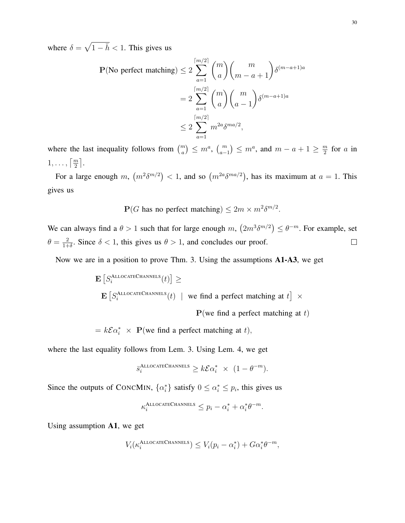where  $\delta = \sqrt{1 - \bar{h}} < 1$ . This gives us

$$
\mathbf{P}(\text{No perfect matching}) \le 2 \sum_{a=1}^{\lceil m/2 \rceil} \binom{m}{a} \binom{m}{m-a+1} \delta^{(m-a+1)a}
$$

$$
= 2 \sum_{a=1}^{\lceil m/2 \rceil} \binom{m}{a} \binom{m}{a-1} \delta^{(m-a+1)a}
$$

$$
\le 2 \sum_{a=1}^{\lceil m/2 \rceil} m^{2a} \delta^{ma/2},
$$

where the last inequality follows from  $\binom{m}{a} \leq m^a$ ,  $\binom{m}{a-1} \leq m^a$ , and  $m - a + 1 \geq \frac{m}{2}$  $\frac{n}{2}$  for a in  $1,\ldots,\lceil \frac{m}{2} \rceil.$ 

For a large enough m,  $(m^2 \delta^{m/2}) < 1$ , and so  $(m^{2a} \delta^{ma/2})$ , has its maximum at  $a = 1$ . This gives us

 $\mathbf{P}(G \text{ has no perfect matching}) \leq 2m \times m^2 \delta^{m/2}.$ 

We can always find a  $\theta > 1$  such that for large enough m,  $(2m^3 \delta^{m/2}) \le \theta^{-m}$ . For example, set  $\theta = \frac{2}{1+}$  $\frac{2}{1+\delta}$ . Since  $\delta < 1$ , this gives us  $\theta > 1$ , and concludes our proof.  $\Box$ 

Now we are in a position to prove Thm. [3.](#page-11-1) Using the assumptions A1-A3, we get

$$
\begin{aligned} & \mathbf{E}\left[S_i^{\text{ALLOCATECHANNELS}}(t)\right] \geq \\ & \mathbf{E}\left[S_i^{\text{ALLOCATECHANNELS}}(t) \mid \text{ we find a perfect matching at } t\right] \times \end{aligned}
$$

 $P$ (we find a perfect matching at t)

 $= k\mathcal{E}\alpha_i^* \times \mathbf{P}(\text{we find a perfect matching at } t),$ 

where the last equality follows from Lem. [3.](#page-27-0) Using Lem. [4,](#page-28-0) we get

$$
\bar{s}_i^{\text{ALLOCATECHANNELS}} \geq k\mathcal{E}\alpha_i^* \times (1 - \theta^{-m}).
$$

Since the outputs of CONCMIN,  $\{\alpha_i^*\}$  satisfy  $0 \leq \alpha_i^* \leq p_i$ , this gives us

$$
\kappa_i^{\text{ALLOCATECHANNELS}} \leq p_i - \alpha_i^* + \alpha_i^* \theta^{-m}.
$$

Using assumption A1, we get

$$
V_i(\kappa_i^{\text{ALLOCATECHANNELS}}) \le V_i(p_i - \alpha_i^*) + G\alpha_i^* \theta^{-m},
$$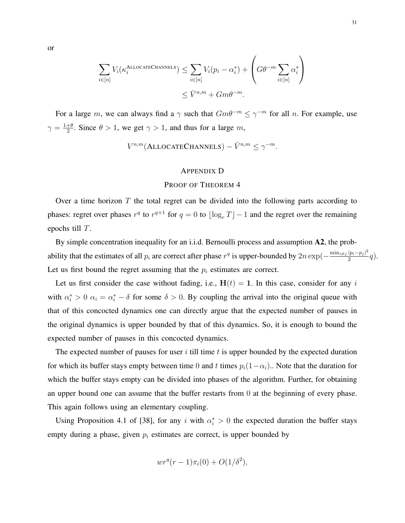$$
\sum_{i \in [n]} V_i(\kappa_i^{\text{ALLOCATECHANNELS}}) \le \sum_{i \in [n]} V_i(p_i - \alpha_i^*) + \left(G\theta^{-m} \sum_{i \in [n]} \alpha_i^*\right)
$$
  

$$
\le \bar{V}^{n,m} + Gm\theta^{-m}.
$$

For a large m, we can always find a  $\gamma$  such that  $Gm\theta^{-m} \leq \gamma^{-m}$  for all n. For example, use  $\gamma = \frac{1+\theta}{2}$  $\frac{1}{2}$ <sup> $\frac{1}{2}$ </sup>. Since  $\theta > 1$ , we get  $\gamma > 1$ , and thus for a large m,

$$
V^{n,m}(\text{ALLOCATECHANNELS}) - \bar{V}^{n,m} \leq \gamma^{-m}.
$$

### APPENDIX D

### PROOF OF THEOREM [4](#page-16-0)

Over a time horizon  $T$  the total regret can be divided into the following parts according to phases: regret over phases  $r^q$  to  $r^{q+1}$  for  $q = 0$  to  $\lfloor \log_r T \rfloor - 1$  and the regret over the remaining epochs till T.

By simple concentration inequality for an i.i.d. Bernoulli process and assumption A2, the probability that the estimates of all  $p_i$  are correct after phase  $r^q$  is upper-bounded by  $2n \exp(-\frac{\min_{i \neq j} |p_i - p_j|^2}{2})$  $\frac{|p_i-p_{j}|}{2}q$ . Let us first bound the regret assuming that the  $p_i$  estimates are correct.

Let us first consider the case without fading, i.e.,  $H(t) = 1$ . In this case, consider for any i with  $\alpha_i^* > 0$   $\alpha_i = \alpha_i^* - \delta$  for some  $\delta > 0$ . By coupling the arrival into the original queue with that of this concocted dynamics one can directly argue that the expected number of pauses in the original dynamics is upper bounded by that of this dynamics. So, it is enough to bound the expected number of pauses in this concocted dynamics.

The expected number of pauses for user  $i$  till time  $t$  is upper bounded by the expected duration for which its buffer stays empty between time 0 and t times  $p_i(1-\alpha_i)$ . Note that the duration for which the buffer stays empty can be divided into phases of the algorithm. Further, for obtaining an upper bound one can assume that the buffer restarts from 0 at the beginning of every phase. This again follows using an elementary coupling.

Using Proposition 4.1 of [\[38\]](#page-24-3), for any i with  $\alpha_i^* > 0$  the expected duration the buffer stays empty during a phase, given  $p_i$  estimates are correct, is upper bounded by

$$
wr^{q}(r-1)\pi_{i}(0)+O(1/\delta^{2}),
$$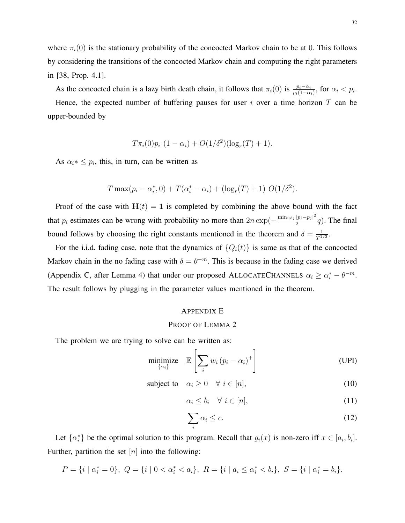where  $\pi_i(0)$  is the stationary probability of the concocted Markov chain to be at 0. This follows by considering the transitions of the concocted Markov chain and computing the right parameters in [\[38,](#page-24-3) Prop. 4.1].

As the concocted chain is a lazy birth death chain, it follows that  $\pi_i(0)$  is  $\frac{p_i - \alpha_i}{p_i(1 - \alpha_i)}$ , for  $\alpha_i < p_i$ . Hence, the expected number of buffering pauses for user i over a time horizon  $T$  can be upper-bounded by

$$
T\pi_i(0)p_i (1-\alpha_i) + O(1/\delta^2)(\log_r(T) + 1).
$$

As  $\alpha_i * \leq p_i$ , this, in turn, can be written as

$$
T \max(p_i - \alpha_i^*, 0) + T(\alpha_i^* - \alpha_i) + (\log_r(T) + 1) O(1/\delta^2).
$$

Proof of the case with  $H(t) = 1$  is completed by combining the above bound with the fact that  $p_i$  estimates can be wrong with probability no more than  $2n \exp(-\frac{\min_{i \neq j} |p_i - p_j|^2}{2})$  $\frac{|p_i-p_j|}{2}q$ ). The final bound follows by choosing the right constants mentioned in the theorem and  $\delta = \frac{1}{T^1}$  $\frac{1}{T^{1/3}}.$ 

For the i.i.d. fading case, note that the dynamics of  $\{Q_i(t)\}\$ is same as that of the concocted Markov chain in the no fading case with  $\delta = \theta^{-m}$ . This is because in the fading case we derived (Appendix [C,](#page-27-1) after Lemma [4\)](#page-28-0) that under our proposed ALLOCATECHANNELS  $\alpha_i \ge \alpha_i^* - \theta^{-m}$ . The result follows by plugging in the parameter values mentioned in the theorem.

### <span id="page-31-0"></span>APPENDIX E

### PROOF OF LEMMA [2](#page-18-2)

The problem we are trying to solve can be written as:

$$
\underset{\{\alpha_i\}}{\text{minimize}} \quad \mathbb{E}\left[\sum_i w_i \left(p_i - \alpha_i\right)^+\right] \tag{UPI}
$$

$$
subject to \quad \alpha_i \ge 0 \quad \forall \ i \in [n], \tag{10}
$$

<span id="page-31-4"></span><span id="page-31-2"></span><span id="page-31-1"></span>
$$
\alpha_i \le b_i \quad \forall \ i \in [n], \tag{11}
$$

<span id="page-31-3"></span>
$$
\sum_{i} \alpha_i \le c. \tag{12}
$$

Let  $\{\alpha_i^*\}$  be the optimal solution to this program. Recall that  $g_i(x)$  is non-zero iff  $x \in [a_i, b_i]$ . Further, partition the set  $[n]$  into the following:

$$
P = \{i \mid \alpha_i^* = 0\}, \ Q = \{i \mid 0 < \alpha_i^* < a_i\}, \ R = \{i \mid a_i \leq \alpha_i^* < b_i\}, \ S = \{i \mid \alpha_i^* = b_i\}.
$$